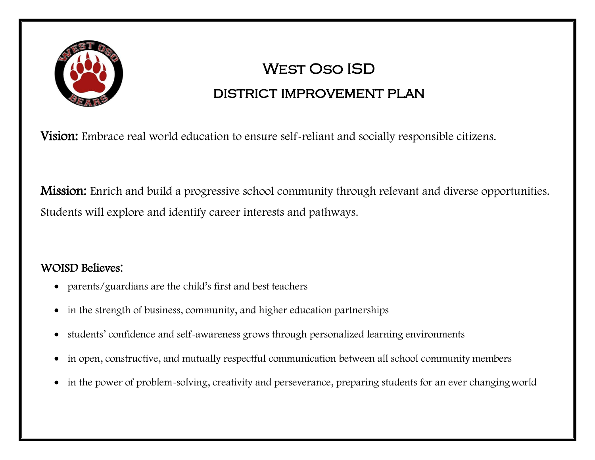

# West Oso ISD

# district improvement plan

**Vision:** Embrace real world education to ensure self-reliant and socially responsible citizens.

Mission: Enrich and build a progressive school community through relevant and diverse opportunities. Students will explore and identify career interests and pathways.

### WOISD Believes:

- parents/guardians are the child's first and best teachers
- in the strength of business, community, and higher education partnerships
- students' confidence and self-awareness grows through personalized learning environments
- in open, constructive, and mutually respectful communication between all school community members
- in the power of problem-solving, creativity and perseverance, preparing students for an ever changingworld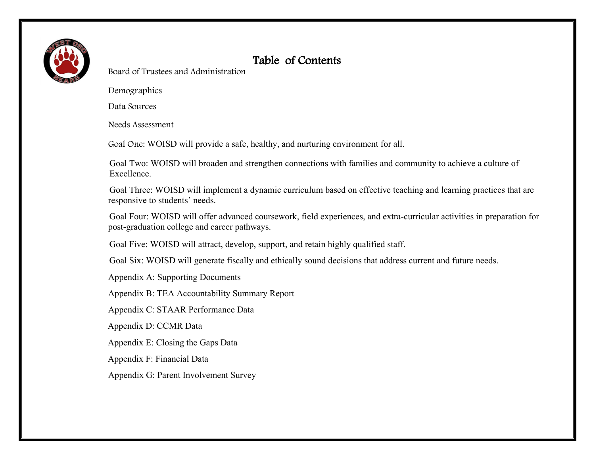

### Table of Contents

Board of Trustees and Administration

Demographics

Data Sources

Needs Assessment

Goal One: WOISD will provide a safe, healthy, and nurturing environment for all.

Goal Two: WOISD will broaden and strengthen connections with families and community to achieve a culture of Excellence.

Goal Three: WOISD will implement a dynamic curriculum based on effective teaching and learning practices that are responsive to students' needs.

Goal Four: WOISD will offer advanced coursework, field experiences, and extra-curricular activities in preparation for post-graduation college and career pathways.

Goal Five: WOISD will attract, develop, support, and retain highly qualified staff.

Goal Six: WOISD will generate fiscally and ethically sound decisions that address current and future needs.

Appendix A: Supporting Documents

Appendix B: TEA Accountability Summary Report

Appendix C: STAAR Performance Data

Appendix D: CCMR Data

Appendix E: Closing the Gaps Data

Appendix F: Financial Data

Appendix G: Parent Involvement Survey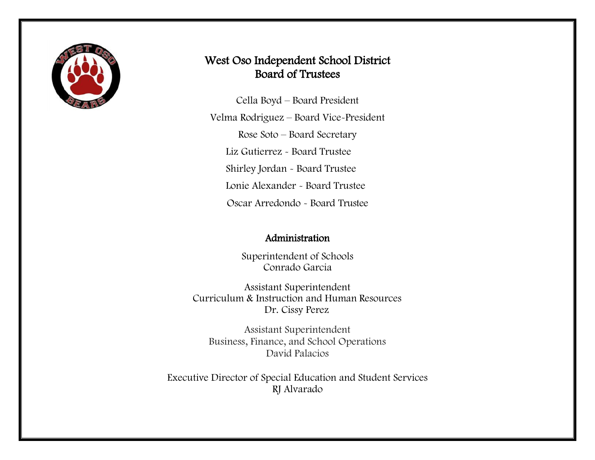

### West Oso Independent School District Board of Trustees

Cella Boyd – Board President Velma Rodriguez – Board Vice-President Rose Soto – Board Secretary Liz Gutierrez - Board Trustee Shirley Jordan - Board Trustee Lonie Alexander - Board Trustee Oscar Arredondo - Board Trustee

#### Administration

Superintendent of Schools Conrado Garcia

Assistant Superintendent Curriculum & Instruction and Human Resources Dr. Cissy Perez

Assistant Superintendent Business, Finance, and School Operations David Palacios

Executive Director of Special Education and Student Services RJ Alvarado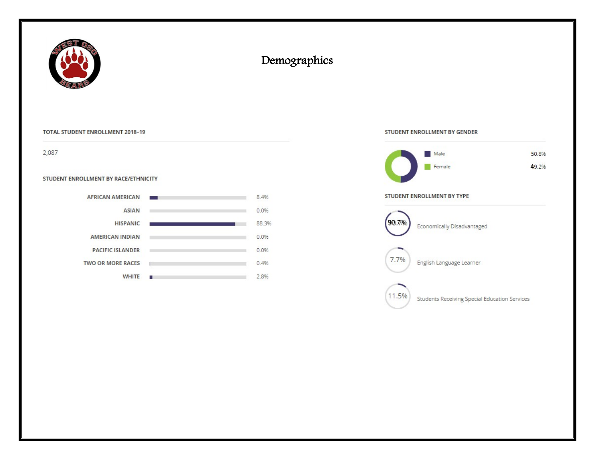

### Demographics

#### **TOTAL STUDENT ENROLLMENT 2018- 19**

2,087

#### **STUDENT ENROLLMENT BY RACE/ETHNICITY**

| RULLMENT BY RACE/ETHNICH Y |       |
|----------------------------|-------|
| <b>AFRICAN AMERICAN</b>    | 8.4%  |
| <b>ASIAN</b>               | 0.0%  |
| <b>HISPANIC</b>            | 88.3% |
| <b>AMERICAN INDIAN</b>     | 0.0%  |
| <b>PACIFIC ISLANDER</b>    | 0.0%  |
| <b>TWO OR MORE RACES</b>   | 0.4%  |
| <b>WHITE</b>               | 2.8%  |

#### **STUDENT ENROLLMENT BY GENDER**



#### **STUDENT ENROLLMENT BY TYPE**

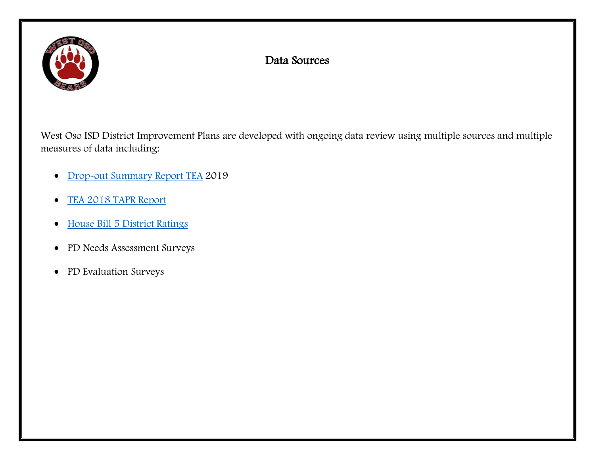

### Data Sources

West Oso ISD District Improvement Plans are developed with ongoing data review using multiple sources and multiple measures of data including:

- [Drop-out Summary Report TEA](https://drive.google.com/file/d/19dkSE3QJLvl7DYFr9wnJV4-Mi727mMUt/view?usp=sharing) 2019
- [TEA 2018 TAPR](https://drive.google.com/file/d/1m12hGt71ut5kW6eRBCI8pljFSM8ytDkE/view?usp=sharing) Report
- [House Bill 5 District Ratings](https://drive.google.com/file/d/1877PTSzwXMBLGNP83Muwdt-BYArfEDwi/view?usp=sharing)
- PD Needs Assessment Surveys
- PD Evaluation Surveys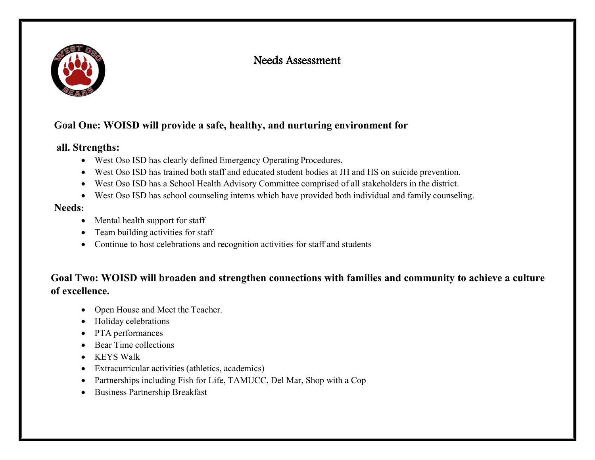

### Needs Assessment

### **Goal One: WOISD will provide a safe, healthy, and nurturing environment for**

#### **all. Strengths:**

- West Oso ISD has clearly defined Emergency Operating Procedures.
- West Oso ISD has trained both staff and educated student bodies at JH and HS on suicide prevention.
- West Oso ISD has a School Health Advisory Committee comprised of all stakeholders in the district.
- West Oso ISD has school counseling interns which have provided both individual and family counseling.

#### **Needs:**

- Mental health support for staff
- Team building activities for staff
- Continue to host celebrations and recognition activities for staff and students

### **Goal Two: WOISD will broaden and strengthen connections with families and community to achieve a culture of excellence.**

- Open House and Meet the Teacher.
- Holiday celebrations
- PTA performances
- Bear Time collections
- KEYS Walk
- Extracurricular activities (athletics, academics)
- Partnerships including Fish for Life, TAMUCC, Del Mar, Shop with a Cop
- Business Partnership Breakfast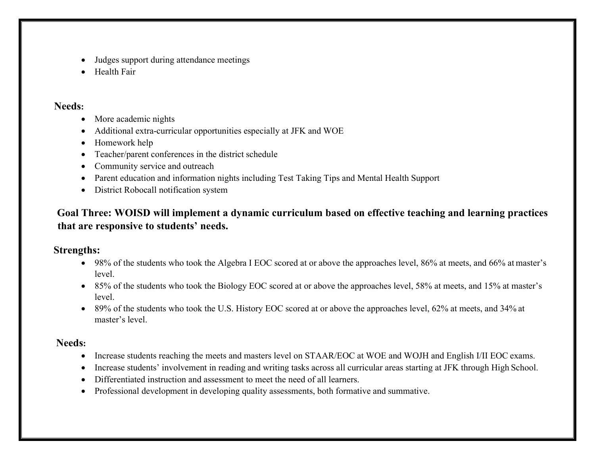- Judges support during attendance meetings
- Health Fair

#### **Needs:**

- More academic nights
- Additional extra-curricular opportunities especially at JFK and WOE
- Homework help
- Teacher/parent conferences in the district schedule
- Community service and outreach
- Parent education and information nights including Test Taking Tips and Mental Health Support
- District Robocall notification system

### **Goal Three: WOISD will implement a dynamic curriculum based on effective teaching and learning practices that are responsive to students' needs.**

#### **Strengths:**

- 98% of the students who took the Algebra I EOC scored at or above the approaches level, 86% at meets, and 66% at master's level.
- 85% of the students who took the Biology EOC scored at or above the approaches level, 58% at meets, and 15% at master's level.
- 89% of the students who took the U.S. History EOC scored at or above the approaches level, 62% at meets, and 34% at master's level.

#### **Needs:**

- Increase students reaching the meets and masters level on STAAR/EOC at WOE and WOJH and English I/II EOC exams.
- Increase students' involvement in reading and writing tasks across all curricular areas starting at JFK through High School.
- Differentiated instruction and assessment to meet the need of all learners.
- Professional development in developing quality assessments, both formative and summative.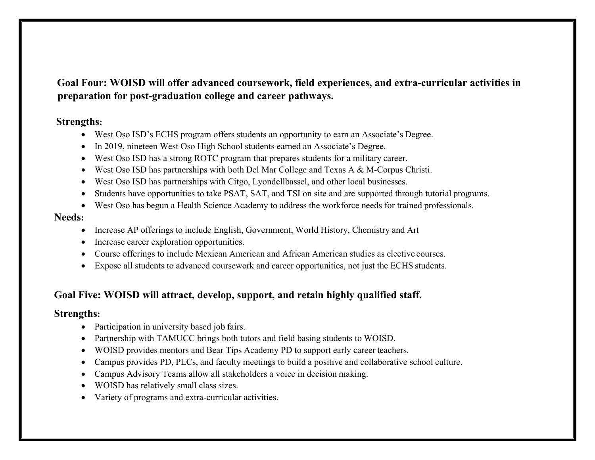**Goal Four: WOISD will offer advanced coursework, field experiences, and extra-curricular activities in preparation for post-graduation college and career pathways.**

#### **Strengths:**

- West Oso ISD's ECHS program offers students an opportunity to earn an Associate's Degree.
- In 2019, nineteen West Oso High School students earned an Associate's Degree.
- West Oso ISD has a strong ROTC program that prepares students for a military career.
- West Oso ISD has partnerships with both Del Mar College and Texas A & M-Corpus Christi.
- West Oso ISD has partnerships with Citgo, Lyondellbassel, and other local businesses.
- $\bullet$ Students have opportunities to take PSAT, SAT, and TSI on site and are supported through tutorial programs.
- West Oso has begun a Health Science Academy to address the workforce needs for trained professionals.

#### **Needs:**

- Increase AP offerings to include English, Government, World History, Chemistry and Art
- Increase career exploration opportunities.
- Course offerings to include Mexican American and African American studies as elective courses.
- Expose all students to advanced coursework and career opportunities, not just the ECHS students.

#### **Goal Five: WOISD will attract, develop, support, and retain highly qualified staff.**

#### **Strengths:**

- Participation in university based job fairs.
- Partnership with TAMUCC brings both tutors and field basing students to WOISD.
- WOISD provides mentors and Bear Tips Academy PD to support early career teachers.
- Campus provides PD, PLCs, and faculty meetings to build a positive and collaborative school culture.
- Campus Advisory Teams allow all stakeholders a voice in decision making.
- WOISD has relatively small class sizes.
- Variety of programs and extra-curricular activities.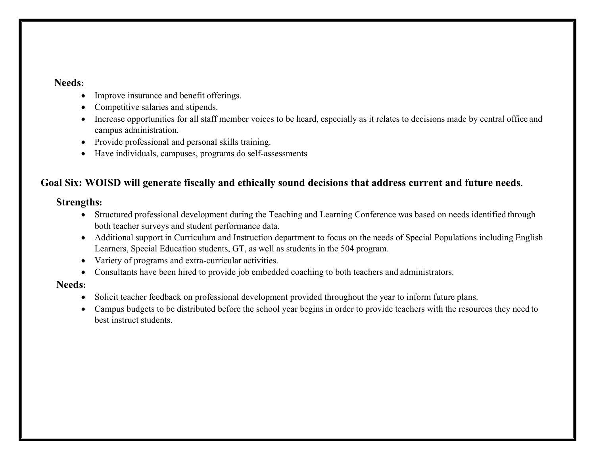#### **Needs:**

- Improve insurance and benefit offerings.
- Competitive salaries and stipends.
- Increase opportunities for all staff member voices to be heard, especially as it relates to decisions made by central office and campus administration.
- Provide professional and personal skills training.
- Have individuals, campuses, programs do self-assessments

#### **Goal Six: WOISD will generate fiscally and ethically sound decisions that address current and future needs**.

#### **Strengths:**

- Structured professional development during the Teaching and Learning Conference was based on needs identified through both teacher surveys and student performance data.
- Additional support in Curriculum and Instruction department to focus on the needs of Special Populations including English Learners, Special Education students, GT, as well as students in the 504 program.
- Variety of programs and extra-curricular activities.
- Consultants have been hired to provide job embedded coaching to both teachers and administrators.

#### **Needs:**

- Solicit teacher feedback on professional development provided throughout the year to inform future plans.
- Campus budgets to be distributed before the school year begins in order to provide teachers with the resources they need to best instruct students.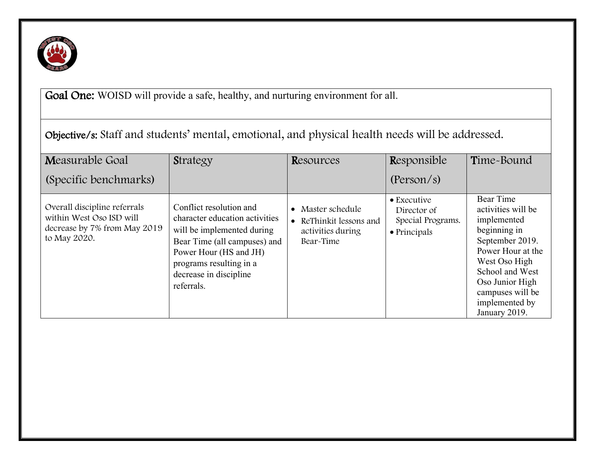

Goal One: WOISD will provide a safe, healthy, and nurturing environment for all.

| Objective/s: Staff and students' mental, emotional, and physical health needs will be addressed. |
|--------------------------------------------------------------------------------------------------|
|--------------------------------------------------------------------------------------------------|

| Measurable Goal                                                                                          | <b>Strategy</b>                                                                                                                                                                                                      | Resources                                                                  | Responsible                                                             | Time-Bound                                                                                                                                                                                                           |
|----------------------------------------------------------------------------------------------------------|----------------------------------------------------------------------------------------------------------------------------------------------------------------------------------------------------------------------|----------------------------------------------------------------------------|-------------------------------------------------------------------------|----------------------------------------------------------------------------------------------------------------------------------------------------------------------------------------------------------------------|
| (Specific benchmarks)                                                                                    |                                                                                                                                                                                                                      |                                                                            | (Person/s)                                                              |                                                                                                                                                                                                                      |
| Overall discipline referrals<br>within West Oso ISD will<br>decrease by 7% from May 2019<br>to May 2020. | Conflict resolution and<br>character education activities<br>will be implemented during<br>Bear Time (all campuses) and<br>Power Hour (HS and JH)<br>programs resulting in a<br>decrease in discipline<br>referrals. | Master schedule<br>ReThinkit lessons and<br>activities during<br>Bear-Time | • Executive<br>Director of<br>Special Programs.<br>$\bullet$ Principals | Bear Time<br>activities will be<br>implemented<br>beginning in<br>September 2019.<br>Power Hour at the<br>West Oso High<br>School and West<br>Oso Junior High<br>campuses will be<br>implemented by<br>January 2019. |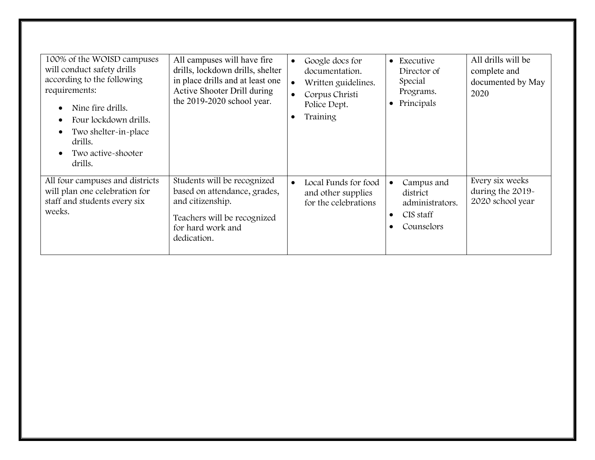| 100% of the WOISD campuses<br>will conduct safety drills<br>according to the following<br>requirements:<br>Nine fire drills.<br>Four lockdown drills.<br>Two shelter-in-place<br>drills.<br>Two active-shooter<br>drills. | All campuses will have fire<br>drills, lockdown drills, shelter<br>in place drills and at least one<br>Active Shooter Drill during<br>the 2019-2020 school year. | Google docs for<br>$\bullet$<br>documentation.<br>Written guidelines.<br>$\bullet$<br>Corpus Christi<br>Police Dept.<br>Training<br>$\bullet$ | • Executive<br>Director of<br>Special<br>Programs.<br>Principals                  | All drills will be<br>complete and<br>documented by May<br>2020 |
|---------------------------------------------------------------------------------------------------------------------------------------------------------------------------------------------------------------------------|------------------------------------------------------------------------------------------------------------------------------------------------------------------|-----------------------------------------------------------------------------------------------------------------------------------------------|-----------------------------------------------------------------------------------|-----------------------------------------------------------------|
| All four campuses and districts<br>will plan one celebration for<br>staff and students every six<br>weeks.                                                                                                                | Students will be recognized<br>based on attendance, grades,<br>and citizenship.<br>Teachers will be recognized<br>for hard work and<br>dedication.               | Local Funds for food<br>and other supplies<br>for the celebrations                                                                            | Campus and<br>district<br>administrators.<br>CIS staff<br>$\bullet$<br>Counselors | Every six weeks<br>during the 2019-<br>2020 school year         |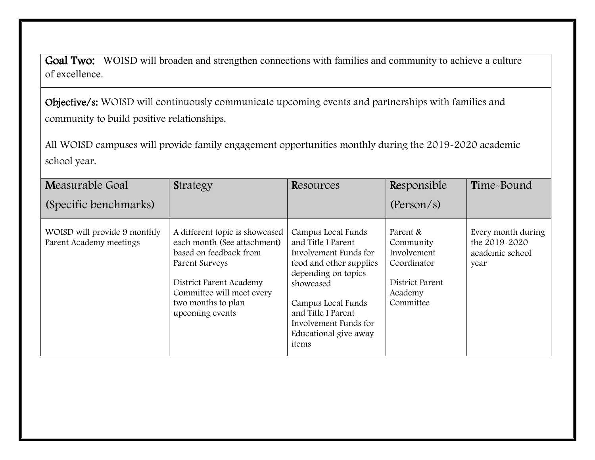Goal Two: WOISD will broaden and strengthen connections with families and community to achieve a culture of excellence.

Objective/s: WOISD will continuously communicate upcoming events and partnerships with families and community to build positive relationships.

All WOISD campuses will provide family engagement opportunities monthly during the 2019-2020 academic school year.

| Measurable Goal                                         | Strategy                                                                                                                                                                                                   | Resources                                                                                                                                                                                                                               | Responsible                                                                                    | Time-Bound                                                     |
|---------------------------------------------------------|------------------------------------------------------------------------------------------------------------------------------------------------------------------------------------------------------------|-----------------------------------------------------------------------------------------------------------------------------------------------------------------------------------------------------------------------------------------|------------------------------------------------------------------------------------------------|----------------------------------------------------------------|
| (Specific benchmarks)                                   |                                                                                                                                                                                                            |                                                                                                                                                                                                                                         | (Person/s)                                                                                     |                                                                |
| WOISD will provide 9 monthly<br>Parent Academy meetings | A different topic is showcased<br>each month (See attachment)<br>based on feedback from<br>Parent Surveys<br>District Parent Academy<br>Committee will meet every<br>two months to plan<br>upcoming events | Campus Local Funds<br>and Title I Parent<br>Involvement Funds for<br>food and other supplies<br>depending on topics<br>showcased<br>Campus Local Funds<br>and Title I Parent<br>Involvement Funds for<br>Educational give away<br>items | Parent &<br>Community<br>Involvement<br>Coordinator<br>District Parent<br>Academy<br>Committee | Every month during<br>the 2019-2020<br>academic school<br>year |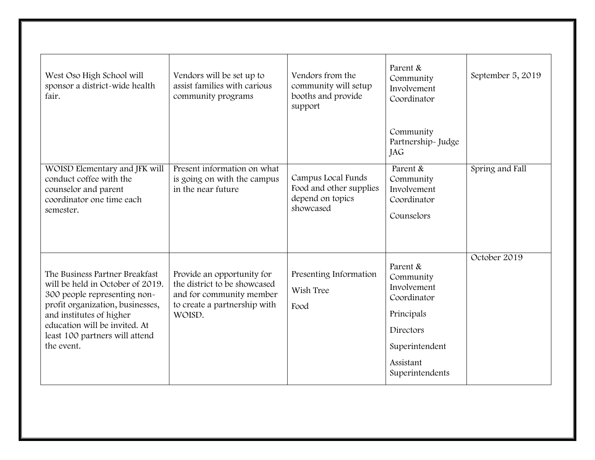| West Oso High School will<br>sponsor a district-wide health<br>fair.                                                                                                                                                                                | Vendors will be set up to<br>assist families with carious<br>community programs                                                  | Vendors from the<br>community will setup<br>booths and provide<br>support      | Parent &<br>Community<br>Involvement<br>Coordinator                                                                              | September 5, 2019 |
|-----------------------------------------------------------------------------------------------------------------------------------------------------------------------------------------------------------------------------------------------------|----------------------------------------------------------------------------------------------------------------------------------|--------------------------------------------------------------------------------|----------------------------------------------------------------------------------------------------------------------------------|-------------------|
|                                                                                                                                                                                                                                                     |                                                                                                                                  |                                                                                | Community<br>Partnership-Judge<br>JAG                                                                                            |                   |
| WOISD Elementary and JFK will<br>conduct coffee with the<br>counselor and parent<br>coordinator one time each<br>semester.                                                                                                                          | Present information on what<br>is going on with the campus<br>in the near future                                                 | Campus Local Funds<br>Food and other supplies<br>depend on topics<br>showcased | Parent &<br>Community<br>Involvement<br>Coordinator<br>Counselors                                                                | Spring and Fall   |
| The Business Partner Breakfast<br>will be held in October of 2019.<br>300 people representing non-<br>profit organization, businesses,<br>and institutes of higher<br>education will be invited. At<br>least 100 partners will attend<br>the event. | Provide an opportunity for<br>the district to be showcased<br>and for community member<br>to create a partnership with<br>WOISD. | Presenting Information<br>Wish Tree<br>Food                                    | Parent &<br>Community<br>Involvement<br>Coordinator<br>Principals<br>Directors<br>Superintendent<br>Assistant<br>Superintendents | October 2019      |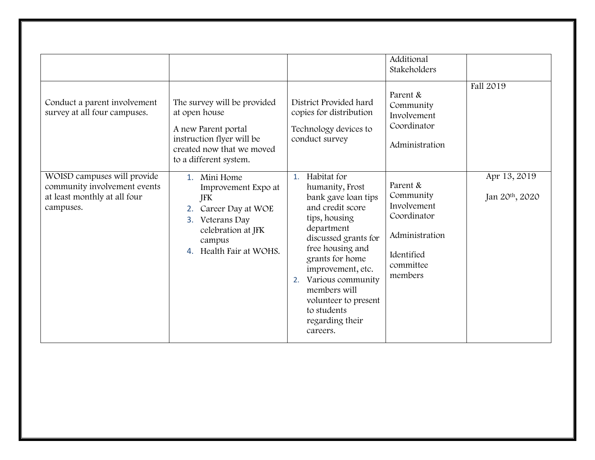|                                                                                                          |                                                                                                                                                         |                                                                                                                                                                                                                                                                                                                     | Additional<br>Stakeholders                                                                                  | Fall 2019                                   |
|----------------------------------------------------------------------------------------------------------|---------------------------------------------------------------------------------------------------------------------------------------------------------|---------------------------------------------------------------------------------------------------------------------------------------------------------------------------------------------------------------------------------------------------------------------------------------------------------------------|-------------------------------------------------------------------------------------------------------------|---------------------------------------------|
| Conduct a parent involvement<br>survey at all four campuses.                                             | The survey will be provided<br>at open house<br>A new Parent portal<br>instruction flyer will be<br>created now that we moved<br>to a different system. | District Provided hard<br>copies for distribution<br>Technology devices to<br>conduct survey                                                                                                                                                                                                                        | Parent &<br>Community<br>Involvement<br>Coordinator<br>Administration                                       |                                             |
| WOISD campuses will provide<br>community involvement events<br>at least monthly at all four<br>campuses. | 1. Mini Home<br>Improvement Expo at<br>JFK<br>Career Day at WOE<br>2.<br>Veterans Day<br>3.<br>celebration at JFK<br>campus<br>4. Health Fair at WOHS.  | Habitat for<br>1.<br>humanity, Frost<br>bank gave loan tips<br>and credit score<br>tips, housing<br>department<br>discussed grants for<br>free housing and<br>grants for home<br>improvement, etc.<br>Various community<br>2.<br>members will<br>volunteer to present<br>to students<br>regarding their<br>careers. | Parent &<br>Community<br>Involvement<br>Coordinator<br>Administration<br>Identified<br>committee<br>members | Apr 13, 2019<br>Jan 20 <sup>th</sup> , 2020 |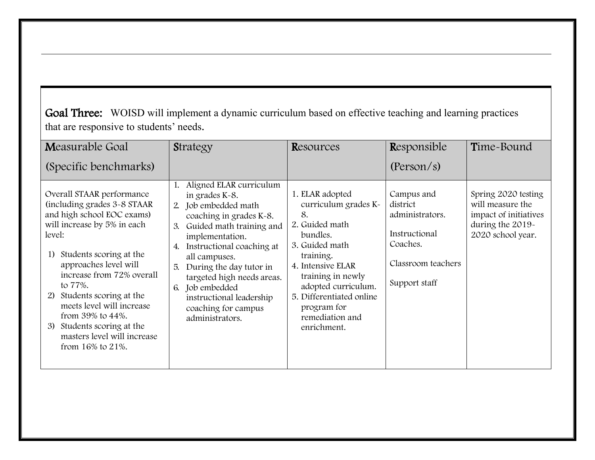Goal Three: WOISD will implement a dynamic curriculum based on effective teaching and learning practices that are responsive to students' needs.

|                                                                                                                                                                                                                                                                                                                                                                                                                                         | Strategy                                                                                                                                                                                                                                                                                                                                 | Resources                                                                                                                                                                                                                                                | Responsible                                                                                                   | Time-Bound                                                                                                |
|-----------------------------------------------------------------------------------------------------------------------------------------------------------------------------------------------------------------------------------------------------------------------------------------------------------------------------------------------------------------------------------------------------------------------------------------|------------------------------------------------------------------------------------------------------------------------------------------------------------------------------------------------------------------------------------------------------------------------------------------------------------------------------------------|----------------------------------------------------------------------------------------------------------------------------------------------------------------------------------------------------------------------------------------------------------|---------------------------------------------------------------------------------------------------------------|-----------------------------------------------------------------------------------------------------------|
| (Specific benchmarks)                                                                                                                                                                                                                                                                                                                                                                                                                   |                                                                                                                                                                                                                                                                                                                                          |                                                                                                                                                                                                                                                          | (Person/s)                                                                                                    |                                                                                                           |
| Overall STAAR performance<br>(including grades 3-8 STAAR)<br>and high school EOC exams)<br>will increase by 5% in each<br>3.<br>level:<br>4.<br>Students scoring at the<br>1)<br>approaches level will<br>5.<br>increase from 72% overall<br>to 77%.<br>6.<br>Students scoring at the<br>2)<br>meets level will increase<br>from $39\%$ to $44\%$ .<br>Students scoring at the<br>3)<br>masters level will increase<br>from 16% to 21%. | Aligned ELAR curriculum<br>in grades K-8.<br>2. Job embedded math<br>coaching in grades K-8.<br>Guided math training and<br>implementation.<br>Instructional coaching at<br>all campuses.<br>During the day tutor in<br>targeted high needs areas.<br>Job embedded<br>instructional leadership<br>coaching for campus<br>administrators. | 1. ELAR adopted<br>curriculum grades K-<br>8.<br>2. Guided math<br>bundles.<br>3. Guided math<br>training.<br>4. Intensive ELAR<br>training in newly<br>adopted curriculum.<br>5. Differentiated online<br>program for<br>remediation and<br>enrichment. | Campus and<br>district<br>administrators.<br>Instructional<br>Coaches.<br>Classroom teachers<br>Support staff | Spring 2020 testing<br>will measure the<br>impact of initiatives<br>during the 2019-<br>2020 school year. |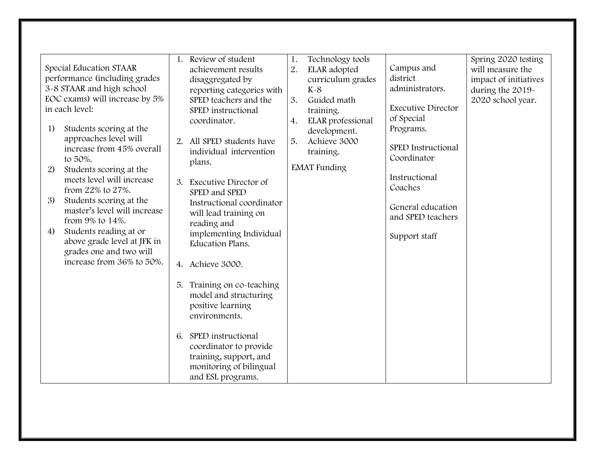| Special Education STAAR<br>performance (including grades<br>3-8 STAAR and high school<br>EOC exams) will increase by 5%<br>in each level:<br>Students scoring at the<br>1)<br>approaches level will<br>increase from 45% overall<br>to 50%.<br>Students scoring at the<br>2)<br>meets level will increase<br>from 22% to 27%.<br>Students scoring at the<br>3)<br>master's level will increase<br>from 9% to 14%.<br>Students reading at or<br>4)<br>above grade level at JFK in<br>grades one and two will<br>increase from 36% to 50%. | Review of student<br>1.<br>achievement results<br>disaggregated by<br>reporting categories with<br>SPED teachers and the<br>SPED instructional<br>coordinator.<br>2. All SPED students have<br>individual intervention<br>plans.<br>3. Executive Director of<br>SPED and SPED<br>Instructional coordinator<br>will lead training on<br>reading and<br>implementing Individual<br>Education Plans.<br>4. Achieve 3000.<br>Training on co-teaching<br>5.<br>model and structuring<br>positive learning<br>environments.<br>6. SPED instructional<br>coordinator to provide<br>training, support, and<br>monitoring of bilingual<br>and ESL programs. | Technology tools<br>1.<br>2.<br>ELAR adopted<br>curriculum grades<br>$K-8$<br>3.<br>Guided math<br>training.<br>ELAR professional<br>4.<br>development.<br>Achieve 3000<br>5.<br>training.<br><b>EMAT</b> Funding | Campus and<br>district<br>administrators.<br><b>Executive Director</b><br>of Special<br>Programs.<br>SPED Instructional<br>Coordinator<br>Instructional<br>Coaches<br>General education<br>and SPED teachers<br>Support staff | Spring 2020 testing<br>will measure the<br>impact of initiatives<br>during the 2019-<br>2020 school year. |
|------------------------------------------------------------------------------------------------------------------------------------------------------------------------------------------------------------------------------------------------------------------------------------------------------------------------------------------------------------------------------------------------------------------------------------------------------------------------------------------------------------------------------------------|----------------------------------------------------------------------------------------------------------------------------------------------------------------------------------------------------------------------------------------------------------------------------------------------------------------------------------------------------------------------------------------------------------------------------------------------------------------------------------------------------------------------------------------------------------------------------------------------------------------------------------------------------|-------------------------------------------------------------------------------------------------------------------------------------------------------------------------------------------------------------------|-------------------------------------------------------------------------------------------------------------------------------------------------------------------------------------------------------------------------------|-----------------------------------------------------------------------------------------------------------|
|------------------------------------------------------------------------------------------------------------------------------------------------------------------------------------------------------------------------------------------------------------------------------------------------------------------------------------------------------------------------------------------------------------------------------------------------------------------------------------------------------------------------------------------|----------------------------------------------------------------------------------------------------------------------------------------------------------------------------------------------------------------------------------------------------------------------------------------------------------------------------------------------------------------------------------------------------------------------------------------------------------------------------------------------------------------------------------------------------------------------------------------------------------------------------------------------------|-------------------------------------------------------------------------------------------------------------------------------------------------------------------------------------------------------------------|-------------------------------------------------------------------------------------------------------------------------------------------------------------------------------------------------------------------------------|-----------------------------------------------------------------------------------------------------------|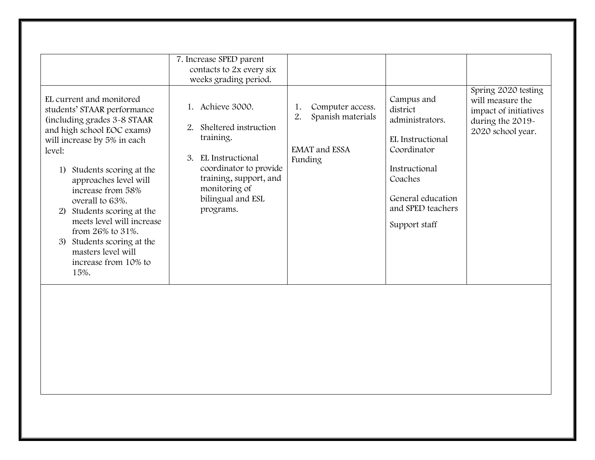|                                                                                                                                                                                                                                                                                                                                                                                                                                     | 7. Increase SPED parent<br>contacts to 2x every six<br>weeks grading period.                                                                                                               |                                                                                      |                                                                                                                                                                     |                                                                                                           |
|-------------------------------------------------------------------------------------------------------------------------------------------------------------------------------------------------------------------------------------------------------------------------------------------------------------------------------------------------------------------------------------------------------------------------------------|--------------------------------------------------------------------------------------------------------------------------------------------------------------------------------------------|--------------------------------------------------------------------------------------|---------------------------------------------------------------------------------------------------------------------------------------------------------------------|-----------------------------------------------------------------------------------------------------------|
| EL current and monitored<br>students' STAAR performance<br>(including grades 3-8 STAAR)<br>and high school EOC exams)<br>will increase by 5% in each<br>level:<br>1) Students scoring at the<br>approaches level will<br>increase from 58%<br>overall to 63%.<br>2) Students scoring at the<br>meets level will increase<br>from 26% to 31%.<br>Students scoring at the<br>3)<br>masters level will<br>increase from 10% to<br>15%. | 1. Achieve 3000.<br>Sheltered instruction<br>2.<br>training.<br>3. EL Instructional<br>coordinator to provide<br>training, support, and<br>monitoring of<br>bilingual and ESL<br>programs. | Computer access.<br>1.<br>2.<br>Spanish materials<br><b>EMAT</b> and ESSA<br>Funding | Campus and<br>district<br>administrators.<br>EL Instructional<br>Coordinator<br>Instructional<br>Coaches<br>General education<br>and SPED teachers<br>Support staff | Spring 2020 testing<br>will measure the<br>impact of initiatives<br>during the 2019-<br>2020 school year. |
|                                                                                                                                                                                                                                                                                                                                                                                                                                     |                                                                                                                                                                                            |                                                                                      |                                                                                                                                                                     |                                                                                                           |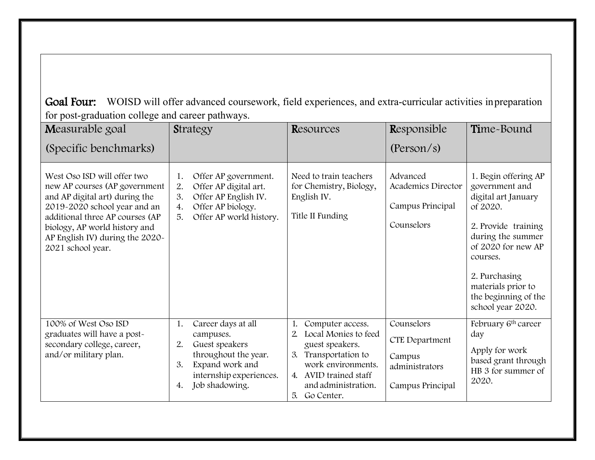Goal Four: WOISD will offer advanced coursework, field experiences, and extra-curricular activities inpreparation for post-graduation college and career pathways.

| Measurable goal                                                                                                                                                                                                                                            | Strategy                                                                                                                                                          | Resources                                                                                                                                                                                          | Responsible                                                                         | Time-Bound                                                                                                                                                                                                                                  |
|------------------------------------------------------------------------------------------------------------------------------------------------------------------------------------------------------------------------------------------------------------|-------------------------------------------------------------------------------------------------------------------------------------------------------------------|----------------------------------------------------------------------------------------------------------------------------------------------------------------------------------------------------|-------------------------------------------------------------------------------------|---------------------------------------------------------------------------------------------------------------------------------------------------------------------------------------------------------------------------------------------|
| (Specific benchmarks)                                                                                                                                                                                                                                      |                                                                                                                                                                   |                                                                                                                                                                                                    | (Person/s)                                                                          |                                                                                                                                                                                                                                             |
| West Oso ISD will offer two<br>new AP courses (AP government<br>and AP digital art) during the<br>2019-2020 school year and an<br>additional three AP courses (AP<br>biology, AP world history and<br>AP English IV) during the 2020-<br>2021 school year. | Offer AP government.<br>1.<br>Offer AP digital art.<br>2.<br>3.<br>Offer AP English IV.<br>Offer AP biology.<br>4.<br>Offer AP world history.<br>5.               | Need to train teachers<br>for Chemistry, Biology,<br>English IV.<br>Title II Funding                                                                                                               | Advanced<br>Academics Director<br>Campus Principal<br>Counselors                    | 1. Begin offering AP<br>government and<br>digital art January<br>of 2020.<br>2. Provide training<br>during the summer<br>of 2020 for new AP<br>courses.<br>2. Purchasing<br>materials prior to<br>the beginning of the<br>school year 2020. |
| 100% of West Oso ISD<br>graduates will have a post-<br>secondary college, career,<br>and/or military plan.                                                                                                                                                 | Career days at all<br>1.<br>campuses.<br>2.<br>Guest speakers<br>throughout the year.<br>3.<br>Expand work and<br>internship experiences.<br>Job shadowing.<br>4. | Computer access.<br>Local Monies to feed<br>$\mathfrak{L}$<br>guest speakers.<br>Transportation to<br>3.<br>work environments.<br>4. AVID trained staff<br>and administration.<br>Go Center.<br>5. | Counselors<br><b>CTE Department</b><br>Campus<br>administrators<br>Campus Principal | February 6 <sup>th</sup> career<br>day<br>Apply for work<br>based grant through<br>HB 3 for summer of<br>2020.                                                                                                                              |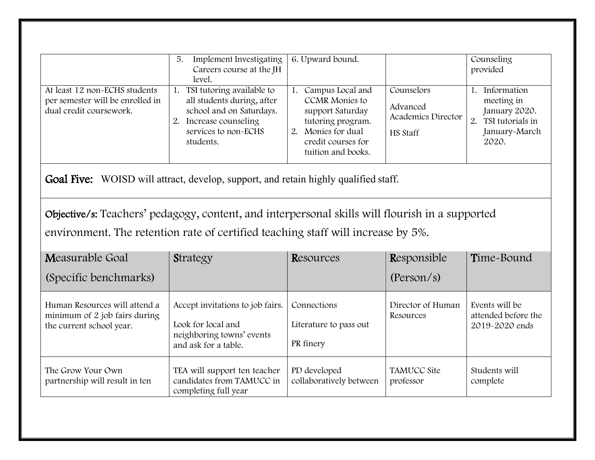| At least 12 non-ECHS students<br>per semester will be enrolled in<br>dual credit coursework.                                                                                                                                                                                      | 5.<br>Implement Investigating<br>Careers course at the JH<br>level.<br>1. TSI tutoring available to<br>all students during, after<br>school and on Saturdays.<br>2. Increase counseling<br>services to non-ECHS<br>students. | 6. Upward bound.<br>1. Campus Local and<br><b>CCMR</b> Monies to<br>support Saturday<br>tutoring program.<br>2. Monies for dual<br>credit courses for<br>tuition and books. | Counselors<br>Advanced<br>Academics Director<br>HS Staff | Counseling<br>provided<br>1. Information<br>meeting in<br>January 2020.<br>2. TSI tutorials in<br>January-March<br>2020. |  |
|-----------------------------------------------------------------------------------------------------------------------------------------------------------------------------------------------------------------------------------------------------------------------------------|------------------------------------------------------------------------------------------------------------------------------------------------------------------------------------------------------------------------------|-----------------------------------------------------------------------------------------------------------------------------------------------------------------------------|----------------------------------------------------------|--------------------------------------------------------------------------------------------------------------------------|--|
| <b>Goal Five:</b> WOISD will attract, develop, support, and retain highly qualified staff.<br>Objective/s: Teachers' pedagogy, content, and interpersonal skills will flourish in a supported<br>environment. The retention rate of certified teaching staff will increase by 5%. |                                                                                                                                                                                                                              |                                                                                                                                                                             |                                                          |                                                                                                                          |  |
| Measurable Goal<br>(Specific benchmarks)                                                                                                                                                                                                                                          | Strategy                                                                                                                                                                                                                     | Resources                                                                                                                                                                   | Responsible<br>(Person/s)                                | Time-Bound                                                                                                               |  |
| Human Resources will attend a<br>minimum of 2 job fairs during<br>the current school year.                                                                                                                                                                                        | Accept invitations to job fairs.<br>Look for local and<br>neighboring towns' events<br>and ask for a table.                                                                                                                  | Connections<br>Literature to pass out<br>PR finery                                                                                                                          | Director of Human<br>Resources                           | Events will be<br>attended before the<br>2019-2020 ends                                                                  |  |
| The Grow Your Own<br>partnership will result in ten                                                                                                                                                                                                                               | TEA will support ten teacher<br>candidates from TAMUCC in<br>completing full year                                                                                                                                            | PD developed<br>collaboratively between                                                                                                                                     | <b>TAMUCC Site</b><br>professor                          | Students will<br>complete                                                                                                |  |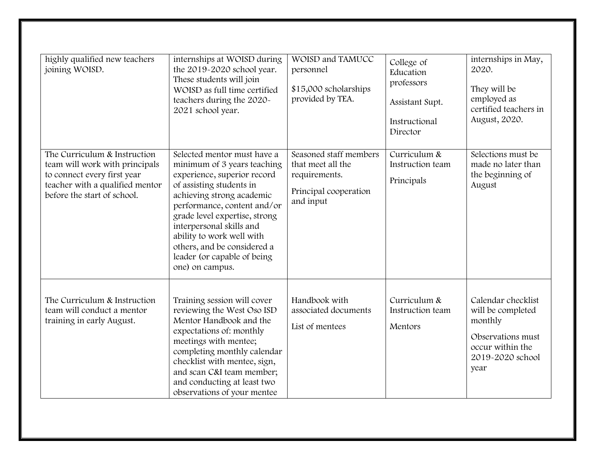| highly qualified new teachers<br>joining WOISD.                                                                                                                 | internships at WOISD during<br>the 2019-2020 school year.<br>These students will join<br>WOISD as full time certified<br>teachers during the 2020-<br>2021 school year.                                                                                                                                                                                      | WOISD and TAMUCC<br>personnel<br>\$15,000 scholarships<br>provided by TEA.                         | College of<br>Education<br>professors<br>Assistant Supt.<br>Instructional<br>Director | internships in May,<br>2020.<br>They will be<br>employed as<br>certified teachers in<br>August, 2020.                   |
|-----------------------------------------------------------------------------------------------------------------------------------------------------------------|--------------------------------------------------------------------------------------------------------------------------------------------------------------------------------------------------------------------------------------------------------------------------------------------------------------------------------------------------------------|----------------------------------------------------------------------------------------------------|---------------------------------------------------------------------------------------|-------------------------------------------------------------------------------------------------------------------------|
| The Curriculum & Instruction<br>team will work with principals<br>to connect every first year<br>teacher with a qualified mentor<br>before the start of school. | Selected mentor must have a<br>minimum of 3 years teaching<br>experience, superior record<br>of assisting students in<br>achieving strong academic<br>performance, content and/or<br>grade level expertise, strong<br>interpersonal skills and<br>ability to work well with<br>others, and be considered a<br>leader (or capable of being<br>one) on campus. | Seasoned staff members<br>that meet all the<br>requirements.<br>Principal cooperation<br>and input | Curriculum &<br>Instruction team<br>Principals                                        | Selections must be<br>made no later than<br>the beginning of<br>August                                                  |
| The Curriculum & Instruction<br>team will conduct a mentor<br>training in early August.                                                                         | Training session will cover<br>reviewing the West Oso ISD<br>Mentor Handbook and the<br>expectations of: monthly<br>meetings with mentee;<br>completing monthly calendar<br>checklist with mentee, sign,<br>and scan C&I team member;<br>and conducting at least two<br>observations of your mentee                                                          | Handbook with<br>associated documents<br>List of mentees                                           | Curriculum &<br>Instruction team<br>Mentors                                           | Calendar checklist<br>will be completed<br>monthly<br>Observations must<br>occur within the<br>2019-2020 school<br>year |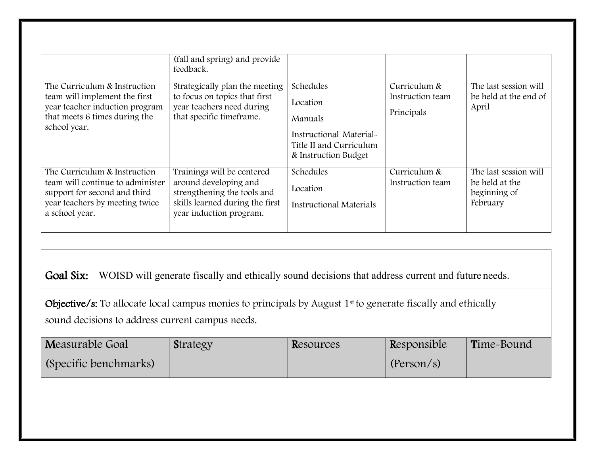|                                                                                                                                                      | (fall and spring) and provide<br>feedback.                                                                                                       |                                                                                                                |                                                |                                                                     |
|------------------------------------------------------------------------------------------------------------------------------------------------------|--------------------------------------------------------------------------------------------------------------------------------------------------|----------------------------------------------------------------------------------------------------------------|------------------------------------------------|---------------------------------------------------------------------|
| The Curriculum & Instruction<br>team will implement the first<br>year teacher induction program<br>that meets 6 times during the<br>school year.     | Strategically plan the meeting<br>to focus on topics that first<br>year teachers need during<br>that specific timeframe.                         | Schedules<br>Location<br>Manuals<br>Instructional Material-<br>Title II and Curriculum<br>& Instruction Budget | Curriculum &<br>Instruction team<br>Principals | The last session will<br>be held at the end of<br>April             |
| The Curriculum & Instruction<br>team will continue to administer<br>support for second and third<br>year teachers by meeting twice<br>a school year. | Trainings will be centered<br>around developing and<br>strengthening the tools and<br>skills learned during the first<br>year induction program. | Schedules<br>Location<br><b>Instructional Materials</b>                                                        | Curriculum &<br>Instruction team               | The last session will<br>be held at the<br>beginning of<br>February |

Goal Six: WOISD will generate fiscally and ethically sound decisions that address current and future needs.

Objective/s: To allocate local campus monies to principals by August 1<sup>st</sup> to generate fiscally and ethically sound decisions to address current campus needs.

| Measurable Goal       | Strategy | Resources | Responsible | Time-Bound |
|-----------------------|----------|-----------|-------------|------------|
| (Specific benchmarks) |          |           | (Person/s)  |            |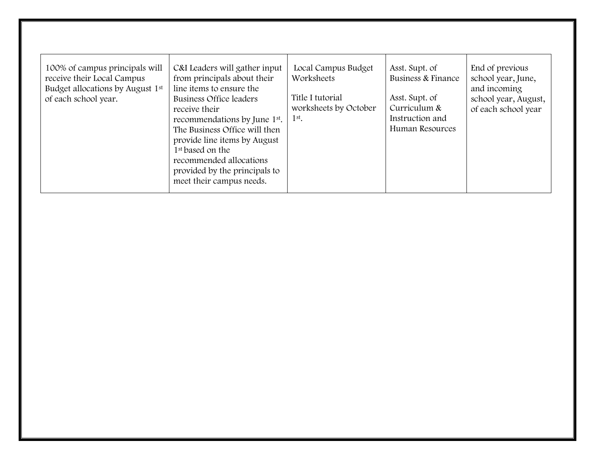| 100% of campus principals will<br>receive their Local Campus<br>Budget allocations by August 1st<br>of each school year. | C&I Leaders will gather input<br>from principals about their<br>line items to ensure the<br>Business Office leaders<br>receive their<br>recommendations by June 1 <sup>st</sup> .<br>The Business Office will then<br>provide line items by August<br>1 <sup>st</sup> based on the<br>recommended allocations<br>provided by the principals to<br>meet their campus needs. | Local Campus Budget<br>Worksheets<br>Title I tutorial<br>worksheets by October<br>$1st$ . | Asst. Supt. of<br>Business & Finance<br>Asst. Supt. of<br>Curriculum &<br>Instruction and<br>Human Resources | End of previous<br>school year, June,<br>and incoming<br>school year, August,<br>of each school year |
|--------------------------------------------------------------------------------------------------------------------------|----------------------------------------------------------------------------------------------------------------------------------------------------------------------------------------------------------------------------------------------------------------------------------------------------------------------------------------------------------------------------|-------------------------------------------------------------------------------------------|--------------------------------------------------------------------------------------------------------------|------------------------------------------------------------------------------------------------------|
|--------------------------------------------------------------------------------------------------------------------------|----------------------------------------------------------------------------------------------------------------------------------------------------------------------------------------------------------------------------------------------------------------------------------------------------------------------------------------------------------------------------|-------------------------------------------------------------------------------------------|--------------------------------------------------------------------------------------------------------------|------------------------------------------------------------------------------------------------------|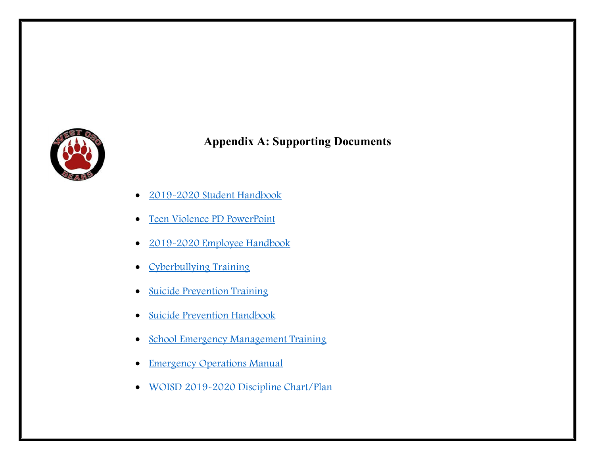

### **Appendix A: Supporting Documents**

- $\bullet$ [2019-2020 Student](https://drive.google.com/file/d/1sIUkYYq5luoGGdATCYrnIatiRX8VNgj4/view?usp=sharing) Handbook
- [Teen Violence PD](https://drive.google.com/file/d/1sY0eguE5oQSyn685Sakpf2NWOQSd9Dm1/view?usp=sharing) PowerPoint
- [2019-2020 Employee](https://drive.google.com/file/d/1Wk9cKVNwRY_D88Lml-ORQZq2Ul0WnfV9/view?usp=sharing) Handbook
- [Cyberbullying Training](https://drive.google.com/file/d/1yE6ClvRIsasI5iCN_79QB7tRdcNmLjLZ/view?usp=sharing)
- [Suicide Prevention](https://drive.google.com/file/d/1kXrmQuMeQloslZJ00F9Y3K8n9xW0eYl-/view?usp=sharing) Training
- [Suicide Prevention](https://drive.google.com/file/d/16zukBQxSKsvlEcQLEMQOPiJxjWGLm8Pu/view?usp=sharing) Handbook
- [School Emergency Management](https://drive.google.com/file/d/1bSczsm5wiIsR262tiIYEk-4do5iFqsRF/view?usp=sharing) Training
- [Emergency Operations](https://drive.google.com/file/d/1NZIBNgLe29u0l-Y2glaQuhwPRYBLBzA8/view?usp=sharing) Manual
- [WOISD 2019-2020 Discipline](https://drive.google.com/file/d/1MqLs8ITKY5DSBvuNT9y7ON1ChZemjsN0/view?usp=sharing) Chart/Plan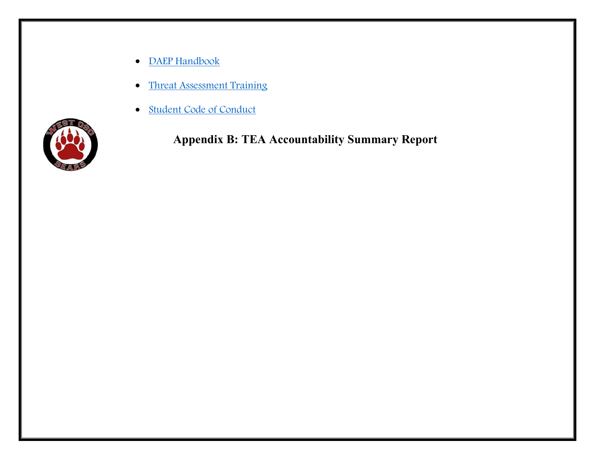- [DAEP Handbook](https://drive.google.com/file/d/1fY5frinTPLZ55VO5ZOLqj6e_-LiYsIT7/view?usp=sharing)
- [Threat Assessment](https://drive.google.com/file/d/1u4C3pKc-wN87bCoE9Cbi0kTiW67bljpS/view?usp=sharing) Training
- [Student Code of](https://drive.google.com/file/d/1s0ZbkxGhNEaL_qxFE67H2ZmT3NFY3O9k/view?usp=sharing) Conduct



**Appendix B: TEA Accountability Summary Report**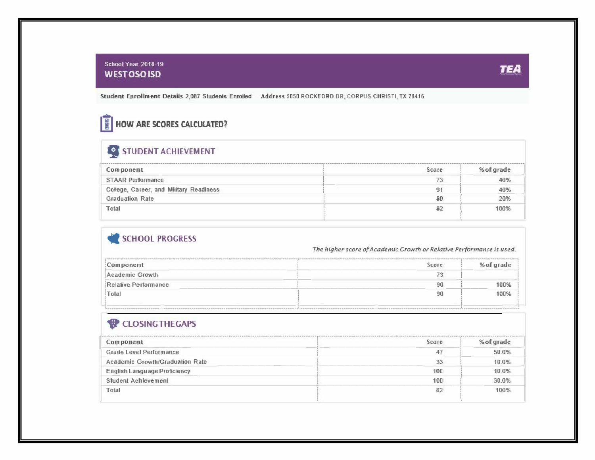#### School Year 2018-19 WEST OSO ISO --- *TEA*

Student Enrollment Details 2,087 Students Enrolled Address 5050 ROCKFORD DR, CORPUS CHRISTI, TX 78416

### **III** HOW ARE SCORES CALCULATED?

# **9** STUDENT ACHIEVEMENT

| Component                               | Score | % of grade |
|-----------------------------------------|-------|------------|
| <b>STAAR Performance</b>                | 73    | 40%        |
| College, Career, and Military Readiness | 91    | 40%        |
| <b>Graduation Rate</b>                  | 80    | 20%        |
| Total                                   | 82    | 100%       |
|                                         |       |            |

### SCHOOL PROGRESS

The higher score of Academic Growth or Relative Performance is used.

| <b>Score</b> | % of grade |
|--------------|------------|
|              |            |
|              | 100%       |
| 90           | 100%       |
|              |            |

#### **1** CLOSING THE GAPS

| Component                           | Score | % of grade |
|-------------------------------------|-------|------------|
| <b>Grade Level Performance</b>      | 47    | 50.0%      |
| Academic Growth/Graduation Rate     | 33    | 10.0%      |
| <b>English Language Proficiency</b> | 100   | 10.0%      |
| Student Achievement                 | 100   | 30.0%      |
| Total                               | 82    | 100%       |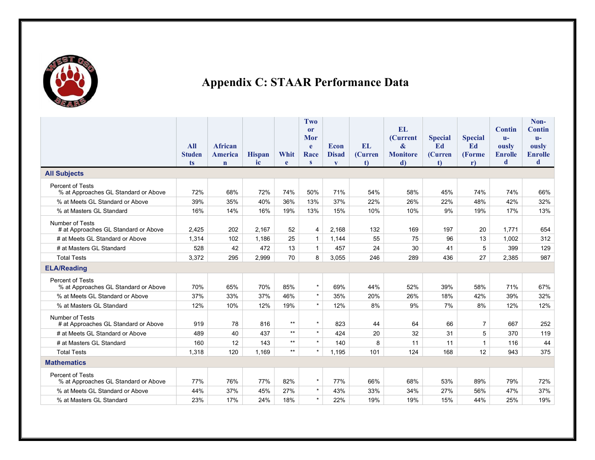

## **Appendix C: STAAR Performance Data**

|                                                                 |               |                |               |                 | Two          |              |              |                          |                |                |                                 | Non-                          |
|-----------------------------------------------------------------|---------------|----------------|---------------|-----------------|--------------|--------------|--------------|--------------------------|----------------|----------------|---------------------------------|-------------------------------|
|                                                                 |               |                |               |                 | or<br>Mor    |              |              | EL.<br><b>(Current</b> ) | <b>Special</b> | <b>Special</b> | <b>Contin</b><br>$\mathbf{u}$ - | <b>Contin</b><br>$\mathbf{u}$ |
|                                                                 | <b>All</b>    | <b>African</b> |               |                 | $\mathbf{e}$ | <b>Econ</b>  | EL.          | &                        | Ed             | Ed             | ously                           | ously                         |
|                                                                 | <b>Studen</b> | <b>America</b> | <b>Hispan</b> | Whit            | Race         | <b>Disad</b> | (Curren      | <b>Monitore</b>          | <b>(Curren</b> | <b>(Forme)</b> | <b>Enrolle</b>                  | <b>Enrolle</b>                |
|                                                                 | ts            | $\mathbf n$    | ic            | e               | $\mathbf{s}$ | $\mathbf{V}$ | $\mathbf{t}$ | d)                       | <sub>t</sub>   | $\mathbf{r}$   | d                               | d                             |
| <b>All Subjects</b>                                             |               |                |               |                 |              |              |              |                          |                |                |                                 |                               |
| <b>Percent of Tests</b><br>% at Approaches GL Standard or Above | 72%           | 68%            | 72%           | 74%             | 50%          | 71%          | 54%          | 58%                      | 45%            | 74%            | 74%                             | 66%                           |
| % at Meets GL Standard or Above                                 | 39%           | 35%            | 40%           | 36%             | 13%          | 37%          | 22%          | 26%                      | 22%            | 48%            | 42%                             | 32%                           |
| % at Masters GL Standard                                        | 16%           | 14%            | 16%           | 19%             | 13%          | 15%          | 10%          | 10%                      | 9%             | 19%            | 17%                             | 13%                           |
| Number of Tests<br># at Approaches GL Standard or Above         | 2,425         | 202            | 2,167         | 52              | 4            | 2,168        | 132          | 169                      | 197            | 20             | 1,771                           | 654                           |
| # at Meets GL Standard or Above                                 | 1,314         | 102            | 1,186         | 25              | $\mathbf{1}$ | 1,144        | 55           | 75                       | 96             | 13             | 1,002                           | 312                           |
| # at Masters GL Standard                                        | 528           | 42             | 472           | 13              | $\mathbf{1}$ | 457          | 24           | 30                       | 41             | 5              | 399                             | 129                           |
| <b>Total Tests</b>                                              | 3,372         | 295            | 2,999         | 70              | 8            | 3,055        | 246          | 289                      | 436            | 27             | 2,385                           | 987                           |
| <b>ELA/Reading</b>                                              |               |                |               |                 |              |              |              |                          |                |                |                                 |                               |
| Percent of Tests<br>% at Approaches GL Standard or Above        | 70%           | 65%            | 70%           | 85%             | $\star$      | 69%          | 44%          | 52%                      | 39%            | 58%            | 71%                             | 67%                           |
| % at Meets GL Standard or Above                                 | 37%           | 33%            | 37%           | 46%             | $\star$      | 35%          | 20%          | 26%                      | 18%            | 42%            | 39%                             | 32%                           |
| % at Masters GL Standard                                        | 12%           | 10%            | 12%           | 19%             | $\star$      | 12%          | 8%           | 9%                       | 7%             | 8%             | 12%                             | 12%                           |
| Number of Tests<br># at Approaches GL Standard or Above         | 919           | 78             | 816           | $\star\star$    | $\star$      | 823          | 44           | 64                       | 66             | $\overline{7}$ | 667                             | 252                           |
| # at Meets GL Standard or Above                                 | 489           | 40             | 437           | $\star\star$    | $\star$      | 424          | 20           | 32                       | 31             | 5              | 370                             | 119                           |
| # at Masters GL Standard                                        | 160           | 12             | 143           | $\star\star$    | $\star$      | 140          | 8            | 11                       | 11             | $\mathbf{1}$   | 116                             | 44                            |
| <b>Total Tests</b>                                              | 1,318         | 120            | 1.169         | $^{\star\star}$ | $\star$      | 1.195        | 101          | 124                      | 168            | 12             | 943                             | 375                           |
| <b>Mathematics</b>                                              |               |                |               |                 |              |              |              |                          |                |                |                                 |                               |
| Percent of Tests<br>% at Approaches GL Standard or Above        | 77%           | 76%            | 77%           | 82%             | $\star$      | 77%          | 66%          | 68%                      | 53%            | 89%            | 79%                             | 72%                           |
| % at Meets GL Standard or Above                                 | 44%           | 37%            | 45%           | 27%             | $\star$      | 43%          | 33%          | 34%                      | 27%            | 56%            | 47%                             | 37%                           |
| % at Masters GL Standard                                        | 23%           | 17%            | 24%           | 18%             | $\star$      | 22%          | 19%          | 19%                      | 15%            | 44%            | 25%                             | 19%                           |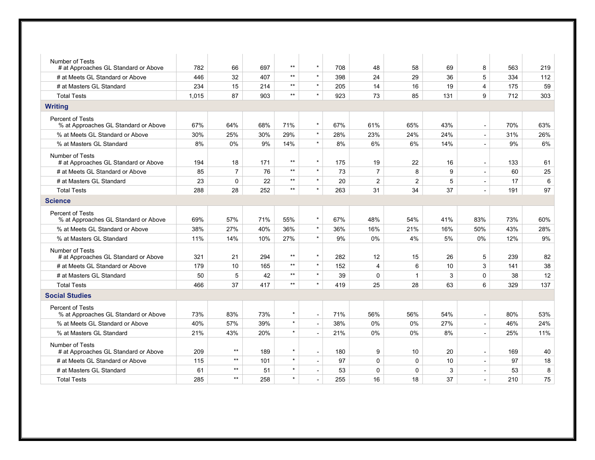| <b>Number of Tests</b>                                          |       |                |     |                 |                          |     |                |                |     |                          |     |     |
|-----------------------------------------------------------------|-------|----------------|-----|-----------------|--------------------------|-----|----------------|----------------|-----|--------------------------|-----|-----|
| # at Approaches GL Standard or Above                            | 782   | 66             | 697 | $^{\star\star}$ | $\star$                  | 708 | 48             | 58             | 69  | 8                        | 563 | 219 |
| # at Meets GL Standard or Above                                 | 446   | 32             | 407 | $**$            | $\star$                  | 398 | 24             | 29             | 36  | 5                        | 334 | 112 |
| # at Masters GL Standard                                        | 234   | 15             | 214 | $^{\star\star}$ | $\star$                  | 205 | 14             | 16             | 19  | 4                        | 175 | 59  |
| <b>Total Tests</b>                                              | 1.015 | 87             | 903 | $^{\star\star}$ | $\star$                  | 923 | 73             | 85             | 131 | 9                        | 712 | 303 |
| <b>Writing</b>                                                  |       |                |     |                 |                          |     |                |                |     |                          |     |     |
| Percent of Tests<br>% at Approaches GL Standard or Above        | 67%   | 64%            | 68% | 71%             | $\star$                  | 67% | 61%            | 65%            | 43% | $\blacksquare$           | 70% | 63% |
| % at Meets GL Standard or Above                                 | 30%   | 25%            | 30% | 29%             | $\star$                  | 28% | 23%            | 24%            | 24% | $\sim$                   | 31% | 26% |
| % at Masters GL Standard                                        | 8%    | $0\%$          | 9%  | 14%             | $\star$                  | 8%  | 6%             | 6%             | 14% | $\sim$                   | 9%  | 6%  |
| Number of Tests<br># at Approaches GL Standard or Above         | 194   | 18             | 171 | $^{\star\star}$ | $\star$                  | 175 | 19             | 22             | 16  | $\overline{\phantom{a}}$ | 133 | 61  |
| # at Meets GL Standard or Above                                 | 85    | $\overline{7}$ | 76  | $***$           | $\star$                  | 73  | $\overline{7}$ | 8              | 9   | $\blacksquare$           | 60  | 25  |
| # at Masters GL Standard                                        | 23    | $\mathbf 0$    | 22  | $^{\star\star}$ | $\star$                  | 20  | $\overline{2}$ | $\overline{2}$ | 5   | $\blacksquare$           | 17  | 6   |
| <b>Total Tests</b>                                              | 288   | 28             | 252 | $***$           | $\star$                  | 263 | 31             | 34             | 37  | $\blacksquare$           | 191 | 97  |
| <b>Science</b>                                                  |       |                |     |                 |                          |     |                |                |     |                          |     |     |
| Percent of Tests<br>% at Approaches GL Standard or Above        | 69%   | 57%            | 71% | 55%             | $\star$                  | 67% | 48%            | 54%            | 41% | 83%                      | 73% | 60% |
| % at Meets GL Standard or Above                                 | 38%   | 27%            | 40% | 36%             | $\star$                  | 36% | 16%            | 21%            | 16% | 50%                      | 43% | 28% |
| % at Masters GL Standard                                        | 11%   | 14%            | 10% | 27%             | $\star$                  | 9%  | 0%             | 4%             | 5%  | 0%                       | 12% | 9%  |
| Number of Tests<br># at Approaches GL Standard or Above         | 321   | 21             | 294 | $^{\star\star}$ | $\star$                  | 282 | 12             | 15             | 26  | 5                        | 239 | 82  |
| # at Meets GL Standard or Above                                 | 179   | 10             | 165 | $***$           | $\star$                  | 152 | 4              | 6              | 10  | 3                        | 141 | 38  |
| # at Masters GL Standard                                        | 50    | 5              | 42  | $^{\star\star}$ | $\star$                  | 39  | 0              | $\mathbf{1}$   | 3   | $\mathbf 0$              | 38  | 12  |
| <b>Total Tests</b>                                              | 466   | 37             | 417 | $***$           | $\star$                  | 419 | 25             | 28             | 63  | 6                        | 329 | 137 |
| <b>Social Studies</b>                                           |       |                |     |                 |                          |     |                |                |     |                          |     |     |
| <b>Percent of Tests</b><br>% at Approaches GL Standard or Above | 73%   | 83%            | 73% | $\star$         | $\overline{\phantom{a}}$ | 71% | 56%            | 56%            | 54% | $\overline{\phantom{a}}$ | 80% | 53% |
| % at Meets GL Standard or Above                                 | 40%   | 57%            | 39% | $\star$         | $\overline{\phantom{a}}$ | 38% | 0%             | 0%             | 27% | $\overline{\phantom{a}}$ | 46% | 24% |
| % at Masters GL Standard                                        | 21%   | 43%            | 20% | $\star$         | $\blacksquare$           | 21% | $0\%$          | 0%             | 8%  | $\blacksquare$           | 25% | 11% |
| <b>Number of Tests</b><br># at Approaches GL Standard or Above  | 209   | $\star\star$   | 189 | $\star$         | $\sim$                   | 180 | 9              | 10             | 20  | $\sim$                   | 169 | 40  |
| # at Meets GL Standard or Above                                 | 115   | $***$          | 101 | $\star$         | $\overline{a}$           | 97  | $\Omega$       | $\mathbf 0$    | 10  | $\overline{\phantom{a}}$ | 97  | 18  |
| # at Masters GL Standard                                        | 61    | $***$          | 51  | $\star$         | $\overline{a}$           | 53  | 0              | $\Omega$       | 3   | $\blacksquare$           | 53  | 8   |
| <b>Total Tests</b>                                              | 285   | $***$          | 258 | $\star$         | $\sim$                   | 255 | 16             | 18             | 37  | $\blacksquare$           | 210 | 75  |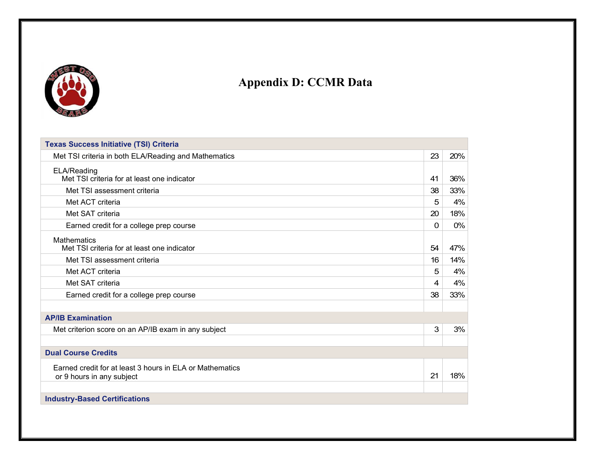

## **Appendix D: CCMR Data**

| <b>Texas Success Initiative (TSI) Criteria</b>                                        |    |     |
|---------------------------------------------------------------------------------------|----|-----|
| Met TSI criteria in both ELA/Reading and Mathematics                                  | 23 | 20% |
| ELA/Reading<br>Met TSI criteria for at least one indicator                            | 41 | 36% |
| Met TSI assessment criteria                                                           | 38 | 33% |
| Met ACT criteria                                                                      | 5  | 4%  |
| Met SAT criteria                                                                      | 20 | 18% |
| Earned credit for a college prep course                                               | 0  | 0%  |
| <b>Mathematics</b><br>Met TSI criteria for at least one indicator                     | 54 | 47% |
| Met TSI assessment criteria                                                           | 16 | 14% |
| Met ACT criteria                                                                      | 5  | 4%  |
| Met SAT criteria                                                                      | 4  | 4%  |
| Earned credit for a college prep course                                               | 38 | 33% |
|                                                                                       |    |     |
| <b>AP/IB Examination</b>                                                              |    |     |
| Met criterion score on an AP/IB exam in any subject                                   | 3  | 3%  |
|                                                                                       |    |     |
| <b>Dual Course Credits</b>                                                            |    |     |
| Earned credit for at least 3 hours in ELA or Mathematics<br>or 9 hours in any subject | 21 | 18% |
| <b>Industry-Based Certifications</b>                                                  |    |     |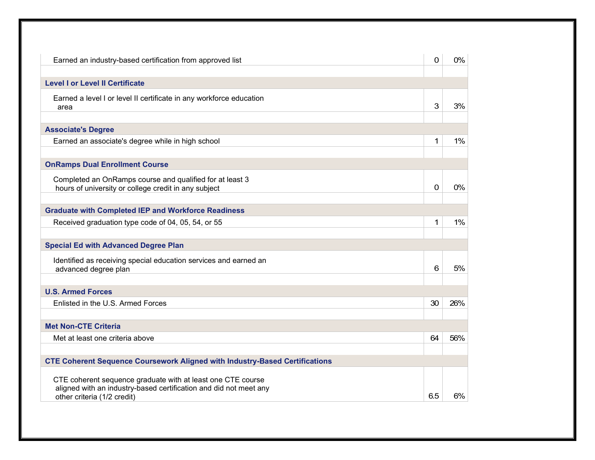| Earned an industry-based certification from approved list                                                                                                       | 0   | 0%  |
|-----------------------------------------------------------------------------------------------------------------------------------------------------------------|-----|-----|
| <b>Level I or Level II Certificate</b>                                                                                                                          |     |     |
| Earned a level I or level II certificate in any workforce education<br>area                                                                                     | 3   | 3%  |
| <b>Associate's Degree</b>                                                                                                                                       |     |     |
| Earned an associate's degree while in high school                                                                                                               | 1   | 1%  |
| <b>OnRamps Dual Enrollment Course</b>                                                                                                                           |     |     |
| Completed an OnRamps course and qualified for at least 3<br>hours of university or college credit in any subject                                                | 0   | 0%  |
| <b>Graduate with Completed IEP and Workforce Readiness</b>                                                                                                      |     |     |
| Received graduation type code of 04, 05, 54, or 55                                                                                                              | 1   | 1%  |
| <b>Special Ed with Advanced Degree Plan</b>                                                                                                                     |     |     |
| Identified as receiving special education services and earned an<br>advanced degree plan                                                                        | 6   | 5%  |
| <b>U.S. Armed Forces</b>                                                                                                                                        |     |     |
| Enlisted in the U.S. Armed Forces                                                                                                                               | 30  | 26% |
| <b>Met Non-CTE Criteria</b>                                                                                                                                     |     |     |
| Met at least one criteria above                                                                                                                                 | 64  | 56% |
| <b>CTE Coherent Sequence Coursework Aligned with Industry-Based Certifications</b>                                                                              |     |     |
| CTE coherent sequence graduate with at least one CTE course<br>aligned with an industry-based certification and did not meet any<br>other criteria (1/2 credit) | 6.5 | 6%  |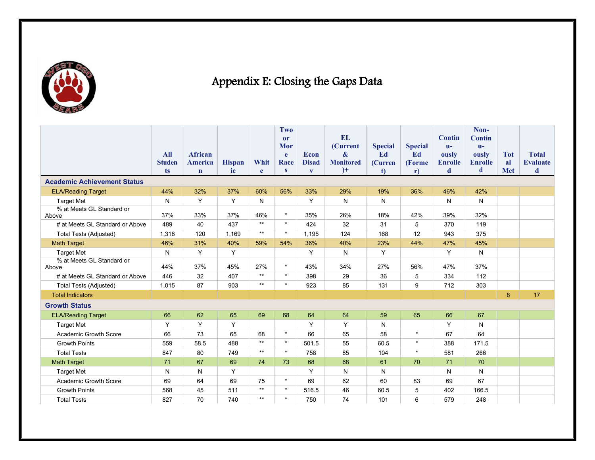

# Appendix E: Closing the Gaps Data

|                                    |               |                |               |           | <b>Two</b>   |              |                               |                      |                |                         | Non-                    |            |                 |
|------------------------------------|---------------|----------------|---------------|-----------|--------------|--------------|-------------------------------|----------------------|----------------|-------------------------|-------------------------|------------|-----------------|
|                                    |               |                |               |           | or           |              | <b>EL</b>                     |                      |                | <b>Contin</b>           | <b>Contin</b>           |            |                 |
|                                    | All           | <b>African</b> |               |           | Mor          | <b>Econ</b>  | (Current<br>$\boldsymbol{\&}$ | <b>Special</b><br>Ed | <b>Special</b> | $\mathbf{u}$            | $\mathbf{u}$ -          | <b>Tot</b> | <b>Total</b>    |
|                                    | <b>Studen</b> | America        | <b>Hispan</b> | Whit      | e.<br>Race   | <b>Disad</b> | <b>Monitored</b>              | (Curren              | Ed<br>(Forme)  | ously<br><b>Enrolle</b> | ously<br><b>Enrolle</b> | al         | <b>Evaluate</b> |
|                                    | ts            | $\mathbf n$    | ic            | e         | $\mathbf{s}$ | $\mathbf{V}$ | $)+$                          | $1$                  | $\mathbf{r}$   | d                       | d                       | <b>Met</b> | d               |
| <b>Academic Achievement Status</b> |               |                |               |           |              |              |                               |                      |                |                         |                         |            |                 |
| <b>ELA/Reading Target</b>          | 44%           | 32%            | 37%           | 60%       | 56%          | 33%          | 29%                           | 19%                  | 36%            | 46%                     | 42%                     |            |                 |
| <b>Target Met</b>                  | N             | Y              | Y             | ${\sf N}$ |              | Y            | N                             | N                    |                | N                       | N                       |            |                 |
| % at Meets GL Standard or<br>Above | 37%           | 33%            | 37%           | 46%       | $\star$      | 35%          | 26%                           | 18%                  | 42%            | 39%                     | 32%                     |            |                 |
| # at Meets GL Standard or Above    | 489           | 40             | 437           | $***$     | $\star$      | 424          | 32                            | 31                   | 5              | 370                     | 119                     |            |                 |
| Total Tests (Adjusted)             | 1,318         | 120            | 1,169         | $***$     | $\star$      | 1,195        | 124                           | 168                  | 12             | 943                     | 375                     |            |                 |
| <b>Math Target</b>                 | 46%           | 31%            | 40%           | 59%       | 54%          | 36%          | 40%                           | 23%                  | 44%            | 47%                     | 45%                     |            |                 |
| <b>Target Met</b>                  | N             | Y              | Y             |           |              | Y            | N                             | Y                    |                | Y                       | N                       |            |                 |
| % at Meets GL Standard or<br>Above | 44%           | 37%            | 45%           | 27%       | $\star$      | 43%          | 34%                           | 27%                  | 56%            | 47%                     | 37%                     |            |                 |
| # at Meets GL Standard or Above    | 446           | 32             | 407           | $***$     | $\star$      | 398          | 29                            | 36                   | 5              | 334                     | 112                     |            |                 |
| Total Tests (Adjusted)             | 1,015         | 87             | 903           | $***$     | $\star$      | 923          | 85                            | 131                  | 9              | 712                     | 303                     |            |                 |
| <b>Total Indicators</b>            |               |                |               |           |              |              |                               |                      |                |                         |                         | 8          | 17              |
| <b>Growth Status</b>               |               |                |               |           |              |              |                               |                      |                |                         |                         |            |                 |
| <b>ELA/Reading Target</b>          | 66            | 62             | 65            | 69        | 68           | 64           | 64                            | 59                   | 65             | 66                      | 67                      |            |                 |
| <b>Target Met</b>                  | Y             | Y              | Y             |           |              | Y            | Y                             | N                    |                | Y                       | N                       |            |                 |
| Academic Growth Score              | 66            | 73             | 65            | 68        | $\star$      | 66           | 65                            | 58                   | $\star$        | 67                      | 64                      |            |                 |
| <b>Growth Points</b>               | 559           | 58.5           | 488           | $***$     | $\star$      | 501.5        | 55                            | 60.5                 | $\star$        | 388                     | 171.5                   |            |                 |
| <b>Total Tests</b>                 | 847           | 80             | 749           | $***$     | $\star$      | 758          | 85                            | 104                  | $\star$        | 581                     | 266                     |            |                 |
| <b>Math Target</b>                 | 71            | 67             | 69            | 74        | 73           | 68           | 68                            | 61                   | 70             | 71                      | 70                      |            |                 |
| <b>Target Met</b>                  | $\mathsf{N}$  | $\mathsf{N}$   | Y             |           |              | Y            | N                             | ${\sf N}$            |                | N                       | N                       |            |                 |
| <b>Academic Growth Score</b>       | 69            | 64             | 69            | 75        | $\star$      | 69           | 62                            | 60                   | 83             | 69                      | 67                      |            |                 |
| <b>Growth Points</b>               | 568           | 45             | 511           | $***$     | $\star$      | 516.5        | 46                            | 60.5                 | 5              | 402                     | 166.5                   |            |                 |
| <b>Total Tests</b>                 | 827           | 70             | 740           | $***$     | $\star$      | 750          | 74                            | 101                  | 6              | 579                     | 248                     |            |                 |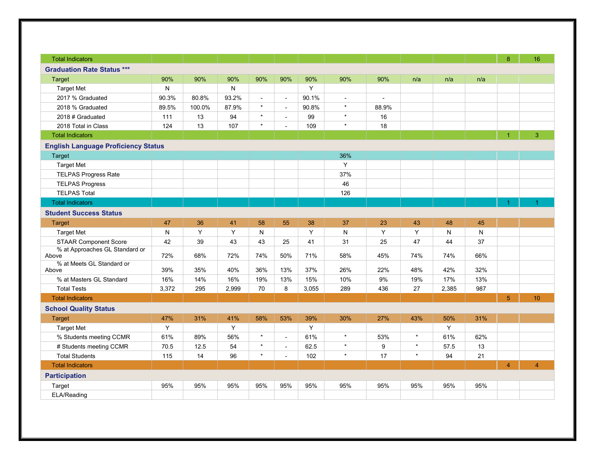| <b>Total Indicators</b>                            |             |        |       |                |                          |          |                |                |         |       |     | 8                    | 16             |
|----------------------------------------------------|-------------|--------|-------|----------------|--------------------------|----------|----------------|----------------|---------|-------|-----|----------------------|----------------|
| <b>Graduation Rate Status ***</b>                  |             |        |       |                |                          |          |                |                |         |       |     |                      |                |
| Target                                             | 90%         | 90%    | 90%   | 90%            | 90%                      | 90%      | 90%            | 90%            | n/a     | n/a   | n/a |                      |                |
| <b>Target Met</b>                                  | N           |        | N     |                |                          | Y        |                |                |         |       |     |                      |                |
| 2017 % Graduated                                   | 90.3%       | 80.8%  | 93.2% | $\blacksquare$ | $\blacksquare$           | 90.1%    | $\blacksquare$ | $\blacksquare$ |         |       |     |                      |                |
| 2018 % Graduated                                   | 89.5%       | 100.0% | 87.9% | $\star$        | $\blacksquare$           | 90.8%    | $\star$        | 88.9%          |         |       |     |                      |                |
| 2018# Graduated                                    | 111         | 13     | 94    | $\star$        | $\blacksquare$           | 99       | $\star$        | 16             |         |       |     |                      |                |
| 2018 Total in Class                                | 124         | 13     | 107   | $\star$        |                          | 109      | $\star$        | 18             |         |       |     |                      |                |
| <b>Total Indicators</b>                            |             |        |       |                |                          |          |                |                |         |       |     | $\blacktriangleleft$ | $\overline{3}$ |
| <b>English Language Proficiency Status</b>         |             |        |       |                |                          |          |                |                |         |       |     |                      |                |
| Target                                             |             |        |       |                |                          |          | 36%            |                |         |       |     |                      |                |
| <b>Target Met</b>                                  |             |        |       |                |                          |          | Y              |                |         |       |     |                      |                |
| <b>TELPAS Progress Rate</b>                        |             |        |       |                |                          |          | 37%            |                |         |       |     |                      |                |
| <b>TELPAS Progress</b>                             |             |        |       |                |                          |          | 46             |                |         |       |     |                      |                |
| <b>TELPAS Total</b>                                |             |        |       |                |                          |          | 126            |                |         |       |     |                      |                |
| <b>Total Indicators</b>                            |             |        |       |                |                          |          |                |                |         |       |     | $\blacktriangleleft$ |                |
| <b>Student Success Status</b>                      |             |        |       |                |                          |          |                |                |         |       |     |                      |                |
| <b>Target</b>                                      | 47          | 36     | 41    | 58             | 55                       | 38       | 37             | 23             | 43      | 48    | 45  |                      |                |
| <b>Target Met</b>                                  | N           | Y      | Y     | N              |                          | Y        | N              | Y              | Y       | N     | N   |                      |                |
| <b>STAAR Component Score</b>                       | 42          | 39     | 43    | 43             | 25                       | 41       | 31             | 25             | 47      | 44    | 37  |                      |                |
| % at Approaches GL Standard or                     |             |        |       |                |                          |          |                |                |         |       |     |                      |                |
| Above                                              | 72%         | 68%    | 72%   | 74%            | 50%                      | 71%      | 58%            | 45%            | 74%     | 74%   | 66% |                      |                |
| % at Meets GL Standard or<br>Above                 | 39%         | 35%    | 40%   | 36%            | 13%                      | 37%      | 26%            | 22%            | 48%     | 42%   | 32% |                      |                |
| % at Masters GL Standard                           | 16%         | 14%    | 16%   | 19%            | 13%                      | 15%      | 10%            | 9%             | 19%     | 17%   | 13% |                      |                |
| <b>Total Tests</b>                                 | 3,372       | 295    | 2,999 | 70             | 8                        | 3,055    | 289            | 436            | 27      | 2,385 | 987 |                      |                |
| <b>Total Indicators</b>                            |             |        |       |                |                          |          |                |                |         |       |     | 5 <sup>1</sup>       | 10             |
| <b>School Quality Status</b>                       |             |        |       |                |                          |          |                |                |         |       |     |                      |                |
|                                                    | 47%         | 31%    | 41%   |                |                          |          | 30%            | 27%            |         | 50%   | 31% |                      |                |
| <b>Target</b>                                      | Υ           |        | Y     | 58%            | 53%                      | 39%<br>Y |                |                | 43%     | Υ     |     |                      |                |
| <b>Target Met</b>                                  |             | 89%    | 56%   | $\star$        | $\mathbf{r}$             | 61%      | $\star$        | 53%            | $\star$ | 61%   | 62% |                      |                |
| % Students meeting CCMR<br># Students meeting CCMR | 61%<br>70.5 | 12.5   | 54    | $\star$        | $\overline{\phantom{a}}$ | 62.5     | $\star$        | 9              | $\star$ | 57.5  | 13  |                      |                |
| <b>Total Students</b>                              | 115         | 14     | 96    | $\star$        | $\blacksquare$           | 102      | $\star$        | 17             | $\star$ | 94    | 21  |                      |                |
| <b>Total Indicators</b>                            |             |        |       |                |                          |          |                |                |         |       |     | $\overline{4}$       | $\overline{4}$ |
|                                                    |             |        |       |                |                          |          |                |                |         |       |     |                      |                |
| <b>Participation</b>                               |             |        |       |                |                          |          |                |                |         |       |     |                      |                |
| Target                                             | 95%         | 95%    | 95%   | 95%            | 95%                      | 95%      | 95%            | 95%            | 95%     | 95%   | 95% |                      |                |
| ELA/Reading                                        |             |        |       |                |                          |          |                |                |         |       |     |                      |                |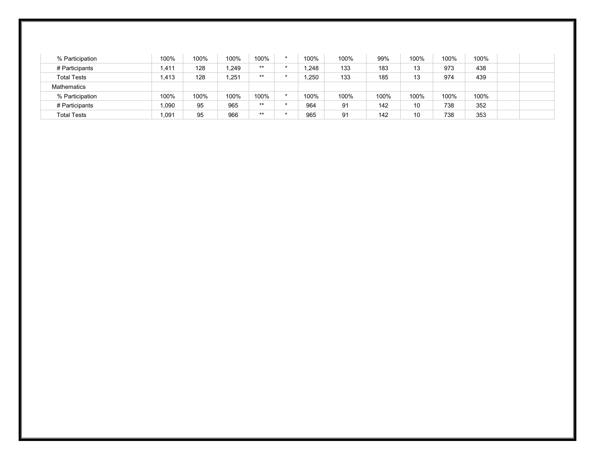| % Participation    | 100%  | 100% | 100%  | 100%  | $\star$ | 100% | 100% | 99%  | 100% | 100% | 100% |  |
|--------------------|-------|------|-------|-------|---------|------|------|------|------|------|------|--|
| # Participants     | 1,411 | 128  | 1,249 | $***$ |         | ,248 | 133  | 183  | 13   | 973  | 438  |  |
| <b>Total Tests</b> | 1,413 | 128  | 1,251 | $***$ |         | .250 | 133  | 185  | 13   | 974  | 439  |  |
| <b>Mathematics</b> |       |      |       |       |         |      |      |      |      |      |      |  |
| % Participation    | 100%  | 100% | 100%  | 100%  | $\star$ | 100% | 100% | 100% | 100% | 100% | 100% |  |
| # Participants     | 1,090 | 95   | 965   | $***$ |         | 964  | 91   | 142  | 10   | 738  | 352  |  |
| <b>Total Tests</b> | 1,091 | 95   | 966   | $***$ |         | 965  | 91   | 142  | 10   | 738  | 353  |  |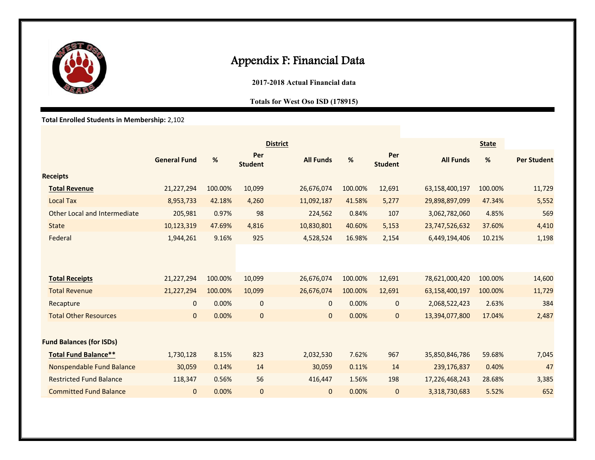

### Appendix F: Financial Data

**2017-2018 Actual Financial data** 

#### **Totals for West Oso ISD (178915)**

**Total Enrolled Students in Membership:** 2,102

|                                  |                     |         |                       | <b>District</b>  |         |                       |                  | <b>State</b> |                    |
|----------------------------------|---------------------|---------|-----------------------|------------------|---------|-----------------------|------------------|--------------|--------------------|
|                                  | <b>General Fund</b> | %       | Per<br><b>Student</b> | <b>All Funds</b> | %       | Per<br><b>Student</b> | <b>All Funds</b> | %            | <b>Per Student</b> |
| <b>Receipts</b>                  |                     |         |                       |                  |         |                       |                  |              |                    |
| <b>Total Revenue</b>             | 21,227,294          | 100.00% | 10,099                | 26,676,074       | 100.00% | 12,691                | 63,158,400,197   | 100.00%      | 11,729             |
| <b>Local Tax</b>                 | 8,953,733           | 42.18%  | 4,260                 | 11,092,187       | 41.58%  | 5,277                 | 29,898,897,099   | 47.34%       | 5,552              |
| Other Local and Intermediate     | 205,981             | 0.97%   | 98                    | 224,562          | 0.84%   | 107                   | 3,062,782,060    | 4.85%        | 569                |
| <b>State</b>                     | 10,123,319          | 47.69%  | 4,816                 | 10,830,801       | 40.60%  | 5,153                 | 23,747,526,632   | 37.60%       | 4,410              |
| Federal                          | 1,944,261           | 9.16%   | 925                   | 4,528,524        | 16.98%  | 2,154                 | 6,449,194,406    | 10.21%       | 1,198              |
|                                  |                     |         |                       |                  |         |                       |                  |              |                    |
| <b>Total Receipts</b>            | 21,227,294          | 100.00% | 10,099                | 26,676,074       | 100.00% | 12,691                | 78,621,000,420   | 100.00%      | 14,600             |
| <b>Total Revenue</b>             | 21,227,294          | 100.00% | 10,099                | 26,676,074       | 100.00% | 12,691                | 63,158,400,197   | 100.00%      | 11,729             |
| Recapture                        | $\mathbf 0$         | 0.00%   | $\mathbf 0$           | $\mathbf{0}$     | 0.00%   | $\mathbf 0$           | 2,068,522,423    | 2.63%        | 384                |
| <b>Total Other Resources</b>     | $\mathbf{0}$        | 0.00%   | $\mathbf{0}$          | $\mathbf{0}$     | 0.00%   | 0                     | 13,394,077,800   | 17.04%       | 2,487              |
| <b>Fund Balances (for ISDs)</b>  |                     |         |                       |                  |         |                       |                  |              |                    |
| <b>Total Fund Balance**</b>      | 1,730,128           | 8.15%   | 823                   | 2,032,530        | 7.62%   | 967                   | 35,850,846,786   | 59.68%       | 7,045              |
| <b>Nonspendable Fund Balance</b> | 30,059              | 0.14%   | 14                    | 30,059           | 0.11%   | 14                    | 239,176,837      | 0.40%        | 47                 |
| <b>Restricted Fund Balance</b>   | 118,347             | 0.56%   | 56                    | 416,447          | 1.56%   | 198                   | 17,226,468,243   | 28.68%       | 3,385              |
| <b>Committed Fund Balance</b>    | $\mathbf 0$         | 0.00%   | $\mathbf 0$           | $\mathbf{0}$     | 0.00%   | 0                     | 3,318,730,683    | 5.52%        | 652                |
|                                  |                     |         |                       |                  |         |                       |                  |              |                    |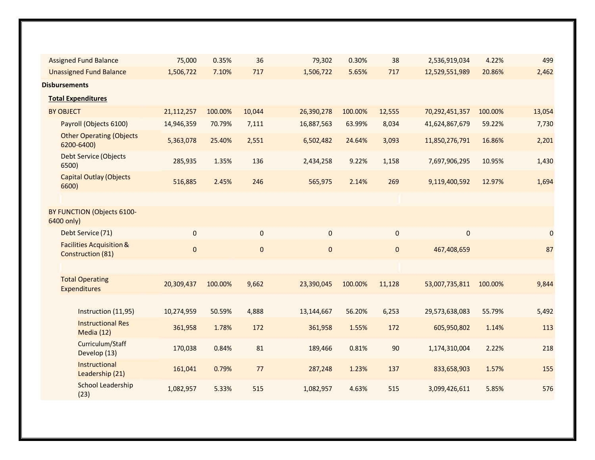| <b>Assigned Fund Balance</b>                                    | 75,000     | 0.35%   | 36          | 79,302     | 0.30%   | 38        | 2,536,919,034  | 4.22%   | 499            |
|-----------------------------------------------------------------|------------|---------|-------------|------------|---------|-----------|----------------|---------|----------------|
| <b>Unassigned Fund Balance</b>                                  | 1,506,722  | 7.10%   | 717         | 1,506,722  | 5.65%   | 717       | 12,529,551,989 | 20.86%  | 2,462          |
| <b>Disbursements</b>                                            |            |         |             |            |         |           |                |         |                |
| <b>Total Expenditures</b>                                       |            |         |             |            |         |           |                |         |                |
| <b>BY OBJECT</b>                                                | 21,112,257 | 100.00% | 10,044      | 26,390,278 | 100.00% | 12,555    | 70,292,451,357 | 100.00% | 13,054         |
| Payroll (Objects 6100)                                          | 14,946,359 | 70.79%  | 7,111       | 16,887,563 | 63.99%  | 8,034     | 41,624,867,679 | 59.22%  | 7,730          |
| <b>Other Operating (Objects</b><br>6200-6400)                   | 5,363,078  | 25.40%  | 2,551       | 6,502,482  | 24.64%  | 3,093     | 11,850,276,791 | 16.86%  | 2,201          |
| <b>Debt Service (Objects</b><br>6500)                           | 285,935    | 1.35%   | 136         | 2,434,258  | 9.22%   | 1,158     | 7,697,906,295  | 10.95%  | 1,430          |
| <b>Capital Outlay (Objects</b><br>6600)                         | 516,885    | 2.45%   | 246         | 565,975    | 2.14%   | 269       | 9,119,400,592  | 12.97%  | 1,694          |
|                                                                 |            |         |             |            |         |           |                |         |                |
| BY FUNCTION (Objects 6100-<br>6400 only)                        |            |         |             |            |         |           |                |         |                |
| Debt Service (71)                                               | 0          |         | $\mathbf 0$ | $\pmb{0}$  |         | $\pmb{0}$ | $\mathbf{0}$   |         | $\overline{0}$ |
| <b>Facilities Acquisition &amp;</b><br><b>Construction (81)</b> | $\pmb{0}$  |         | 0           | $\pmb{0}$  |         | $\pmb{0}$ | 467,408,659    |         | 87             |
|                                                                 |            |         |             |            |         |           |                |         |                |
| <b>Total Operating</b><br><b>Expenditures</b>                   | 20,309,437 | 100.00% | 9,662       | 23,390,045 | 100.00% | 11,128    | 53,007,735,811 | 100.00% | 9,844          |
|                                                                 |            |         |             |            |         |           |                |         |                |
| Instruction (11,95)                                             | 10,274,959 | 50.59%  | 4,888       | 13,144,667 | 56.20%  | 6,253     | 29,573,638,083 | 55.79%  | 5,492          |
| <b>Instructional Res</b><br>Media (12)                          | 361,958    | 1.78%   | 172         | 361,958    | 1.55%   | 172       | 605,950,802    | 1.14%   | 113            |
| Curriculum/Staff<br>Develop (13)                                | 170,038    | 0.84%   | 81          | 189,466    | 0.81%   | 90        | 1,174,310,004  | 2.22%   | 218            |
| Instructional<br>Leadership (21)                                | 161,041    | 0.79%   | 77          | 287,248    | 1.23%   | 137       | 833,658,903    | 1.57%   | 155            |
| School Leadership<br>(23)                                       | 1,082,957  | 5.33%   | 515         | 1,082,957  | 4.63%   | 515       | 3,099,426,611  | 5.85%   | 576            |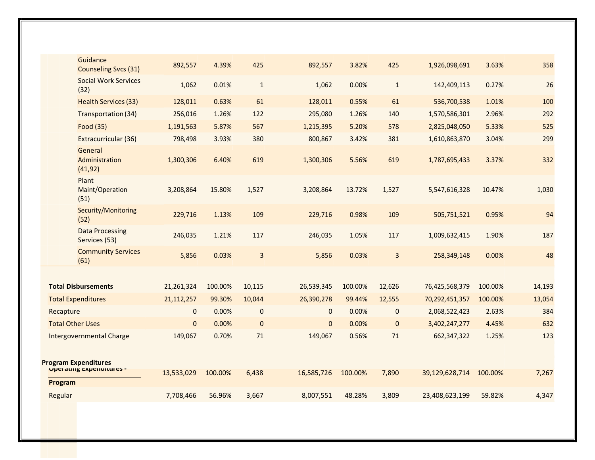|           | Guidance<br><b>Counseling Svcs (31)</b>                  | 892,557      | 4.39%   | 425          | 892,557        | 3.82%   | 425          | 1,926,098,691  | 3.63%   | 358    |
|-----------|----------------------------------------------------------|--------------|---------|--------------|----------------|---------|--------------|----------------|---------|--------|
|           | <b>Social Work Services</b><br>(32)                      | 1,062        | 0.01%   | $\mathbf{1}$ | 1,062          | 0.00%   | $1\,$        | 142,409,113    | 0.27%   | 26     |
|           | <b>Health Services (33)</b>                              | 128,011      | 0.63%   | 61           | 128,011        | 0.55%   | 61           | 536,700,538    | 1.01%   | 100    |
|           | Transportation (34)                                      | 256,016      | 1.26%   | 122          | 295,080        | 1.26%   | 140          | 1,570,586,301  | 2.96%   | 292    |
|           | Food (35)                                                | 1,191,563    | 5.87%   | 567          | 1,215,395      | 5.20%   | 578          | 2,825,048,050  | 5.33%   | 525    |
|           | Extracurricular (36)                                     | 798,498      | 3.93%   | 380          | 800,867        | 3.42%   | 381          | 1,610,863,870  | 3.04%   | 299    |
|           | General<br>Administration<br>(41, 92)                    | 1,300,306    | 6.40%   | 619          | 1,300,306      | 5.56%   | 619          | 1,787,695,433  | 3.37%   | 332    |
|           | Plant<br>Maint/Operation<br>(51)                         | 3,208,864    | 15.80%  | 1,527        | 3,208,864      | 13.72%  | 1,527        | 5,547,616,328  | 10.47%  | 1,030  |
|           | Security/Monitoring<br>(52)                              | 229,716      | 1.13%   | 109          | 229,716        | 0.98%   | 109          | 505,751,521    | 0.95%   | 94     |
|           | <b>Data Processing</b><br>Services (53)                  | 246,035      | 1.21%   | 117          | 246,035        | 1.05%   | 117          | 1,009,632,415  | 1.90%   | 187    |
|           | <b>Community Services</b><br>(61)                        | 5,856        | 0.03%   | 3            | 5,856          | 0.03%   | 3            | 258,349,148    | 0.00%   | 48     |
|           |                                                          |              |         |              |                |         |              |                |         |        |
|           | <b>Total Disbursements</b>                               | 21,261,324   | 100.00% | 10,115       | 26,539,345     | 100.00% | 12,626       | 76,425,568,379 | 100.00% | 14,193 |
|           | <b>Total Expenditures</b>                                | 21,112,257   | 99.30%  | 10,044       | 26,390,278     | 99.44%  | 12,555       | 70,292,451,357 | 100.00% | 13,054 |
| Recapture |                                                          | $\mathbf 0$  | 0.00%   | $\mathbf{0}$ | $\mathbf{0}$   | 0.00%   | $\pmb{0}$    | 2,068,522,423  | 2.63%   | 384    |
|           | <b>Total Other Uses</b>                                  | $\mathbf{0}$ | 0.00%   | $\mathbf{0}$ | $\overline{0}$ | 0.00%   | $\mathbf{0}$ | 3,402,247,277  | 4.45%   | 632    |
|           | <b>Intergovernmental Charge</b>                          | 149,067      | 0.70%   | 71           | 149,067        | 0.56%   | 71           | 662,347,322    | 1.25%   | 123    |
| Program   | <b>Program Expenditures</b><br>Updiating Experientines - | 13,533,029   | 100.00% | 6,438        | 16,585,726     | 100.00% | 7,890        | 39,129,628,714 | 100.00% | 7,267  |
| Regular   |                                                          | 7,708,466    | 56.96%  | 3,667        | 8,007,551      | 48.28%  | 3,809        | 23,408,623,199 | 59.82%  | 4,347  |
|           |                                                          |              |         |              |                |         |              |                |         |        |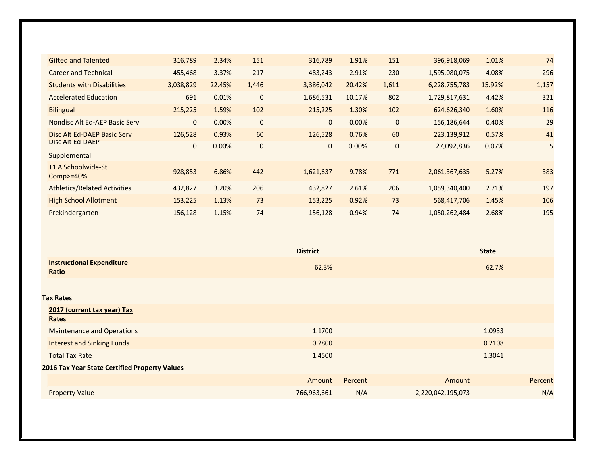| <b>Gifted and Talented</b>          | 316,789      | 2.34%  | 151          | 316,789      | 1.91%  | 151         | 396,918,069   | 1.01%  | 74    |
|-------------------------------------|--------------|--------|--------------|--------------|--------|-------------|---------------|--------|-------|
| <b>Career and Technical</b>         | 455,468      | 3.37%  | 217          | 483,243      | 2.91%  | 230         | 1,595,080,075 | 4.08%  | 296   |
| <b>Students with Disabilities</b>   | 3,038,829    | 22.45% | 1,446        | 3,386,042    | 20.42% | 1,611       | 6,228,755,783 | 15.92% | 1,157 |
| <b>Accelerated Education</b>        | 691          | 0.01%  | $\mathbf{0}$ | 1,686,531    | 10.17% | 802         | 1,729,817,631 | 4.42%  | 321   |
| <b>Bilingual</b>                    | 215,225      | 1.59%  | 102          | 215,225      | 1.30%  | 102         | 624,626,340   | 1.60%  | 116   |
| Nondisc Alt Ed-AEP Basic Serv       | $\mathbf{0}$ | 0.00%  | $\mathbf 0$  | $\mathbf{0}$ | 0.00%  | $\mathbf 0$ | 156,186,644   | 0.40%  | 29    |
| Disc Alt Ed-DAEP Basic Serv         | 126,528      | 0.93%  | 60           | 126,528      | 0.76%  | 60          | 223,139,912   | 0.57%  | 41    |
| <b>UISC AIT EQ-UALP</b>             | $\mathbf{0}$ | 0.00%  | $\mathbf{0}$ | $\mathbf{0}$ | 0.00%  | $\mathbf 0$ | 27,092,836    | 0.07%  | 5     |
| Supplemental                        |              |        |              |              |        |             |               |        |       |
| T1 A Schoolwide-St<br>$Comp$ = 40%  | 928,853      | 6.86%  | 442          | 1,621,637    | 9.78%  | 771         | 2,061,367,635 | 5.27%  | 383   |
| <b>Athletics/Related Activities</b> | 432,827      | 3.20%  | 206          | 432,827      | 2.61%  | 206         | 1,059,340,400 | 2.71%  | 197   |
| <b>High School Allotment</b>        | 153,225      | 1.13%  | 73           | 153,225      | 0.92%  | 73          | 568,417,706   | 1.45%  | 106   |
| Prekindergarten                     | 156,128      | 1.15%  | 74           | 156,128      | 0.94%  | 74          | 1,050,262,484 | 2.68%  | 195   |

|                                               | <b>District</b> |         |                   | <b>State</b> |         |
|-----------------------------------------------|-----------------|---------|-------------------|--------------|---------|
| <b>Instructional Expenditure</b><br>Ratio     | 62.3%           |         |                   | 62.7%        |         |
| <b>Tax Rates</b>                              |                 |         |                   |              |         |
| 2017 (current tax year) Tax<br>Rates          |                 |         |                   |              |         |
| <b>Maintenance and Operations</b>             | 1.1700          |         |                   | 1.0933       |         |
| <b>Interest and Sinking Funds</b>             | 0.2800          |         |                   | 0.2108       |         |
| <b>Total Tax Rate</b>                         | 1.4500          |         |                   | 1.3041       |         |
| 2016 Tax Year State Certified Property Values |                 |         |                   |              |         |
|                                               | Amount          | Percent | Amount            |              | Percent |
| <b>Property Value</b>                         | 766,963,661     | N/A     | 2,220,042,195,073 |              | N/A     |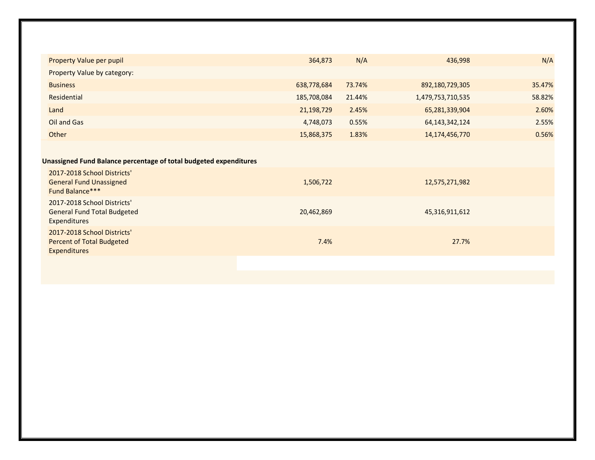| <b>Property Value per pupil</b>                                                        | 364,873     | N/A    | 436,998           | N/A    |
|----------------------------------------------------------------------------------------|-------------|--------|-------------------|--------|
| Property Value by category:                                                            |             |        |                   |        |
| <b>Business</b>                                                                        | 638,778,684 | 73.74% | 892,180,729,305   | 35.47% |
| Residential                                                                            | 185,708,084 | 21.44% | 1,479,753,710,535 | 58.82% |
| Land                                                                                   | 21,198,729  | 2.45%  | 65,281,339,904    | 2.60%  |
| Oil and Gas                                                                            | 4,748,073   | 0.55%  | 64, 143, 342, 124 | 2.55%  |
| Other                                                                                  | 15,868,375  | 1.83%  | 14, 174, 456, 770 | 0.56%  |
|                                                                                        |             |        |                   |        |
| Unassigned Fund Balance percentage of total budgeted expenditures                      |             |        |                   |        |
| 2017-2018 School Districts'<br><b>General Fund Unassigned</b><br>Fund Balance***       | 1,506,722   |        | 12,575,271,982    |        |
| 2017-2018 School Districts'<br><b>General Fund Total Budgeted</b><br>Expenditures      | 20,462,869  |        | 45,316,911,612    |        |
| 2017-2018 School Districts'<br><b>Percent of Total Budgeted</b><br><b>Expenditures</b> | 7.4%        |        | 27.7%             |        |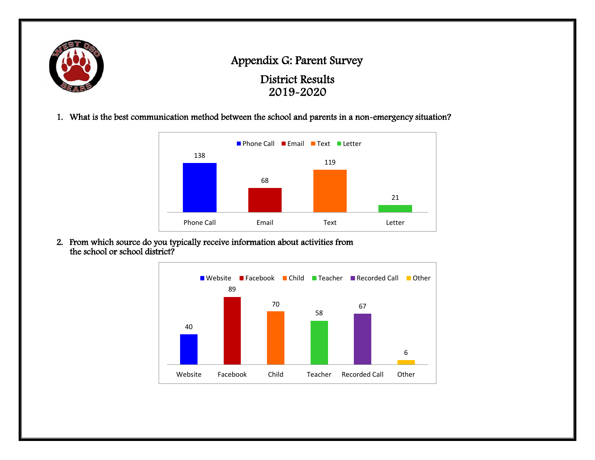

### Appendix G: Parent Survey

District Results 2019-2020

1. What is the best communication method between the school and parents in a non-emergency situation?



2. From which source do you typically receive information about activities from the school or school district?

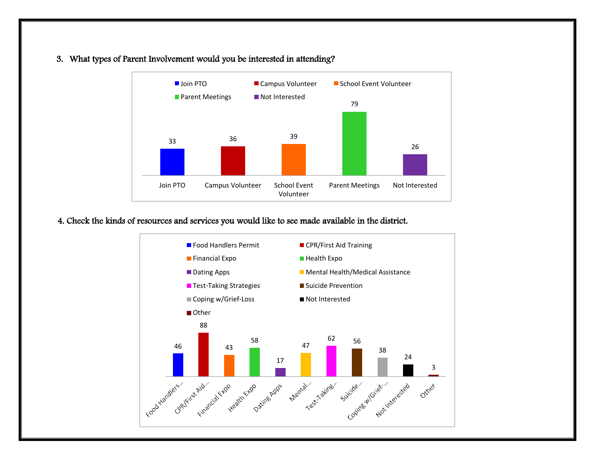3. What types of Parent Involvement would you be interested in attending?



#### 4. Check the kinds of resources and services you would like to see made available in the district.

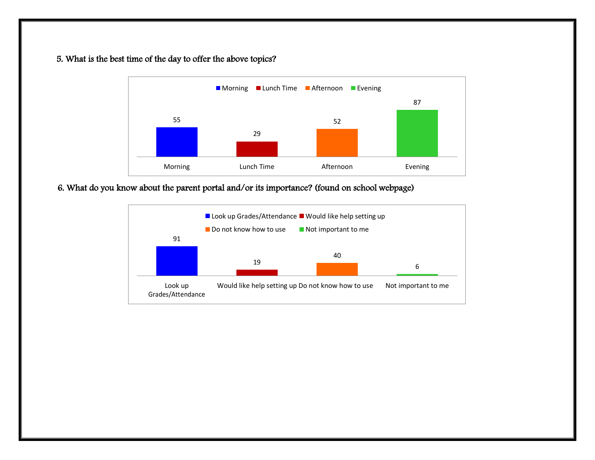#### 5. What is the best time of the day to offer the above topics?



#### 6. What do you know about the parent portal and/or its importance? (found on school webpage)